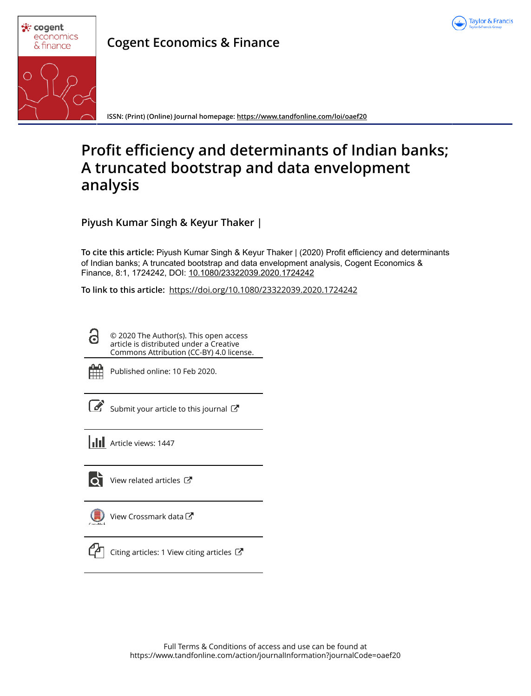



**Cogent Economics & Finance**

**ISSN: (Print) (Online) Journal homepage: https://www.tandfonline.com/loi/oaef20**

# **Profit efficiency and determinants of Indian banks; A truncated bootstrap and data envelopment analysis**

**Piyush Kumar Singh & Keyur Thaker |**

**To cite this article:** Piyush Kumar Singh & Keyur Thaker | (2020) Profit efficiency and determinants of Indian banks; A truncated bootstrap and data envelopment analysis, Cogent Economics & Finance, 8:1, 1724242, DOI: 10.1080/23322039.2020.1724242

**To link to this article:** https://doi.org/10.1080/23322039.2020.1724242

© 2020 The Author(s). This open access article is distributed under a Creative Commons Attribution (CC-BY) 4.0 license.



Θ

Published online: 10 Feb 2020.

Submit your article to this journal  $\mathbb{Z}$ 

**Article views: 1447** 



 $\overrightarrow{Q}$  View related articles  $\overrightarrow{C}$ 

View Crossmark data



Citing articles: 1 View citing articles  $\mathbb{Z}$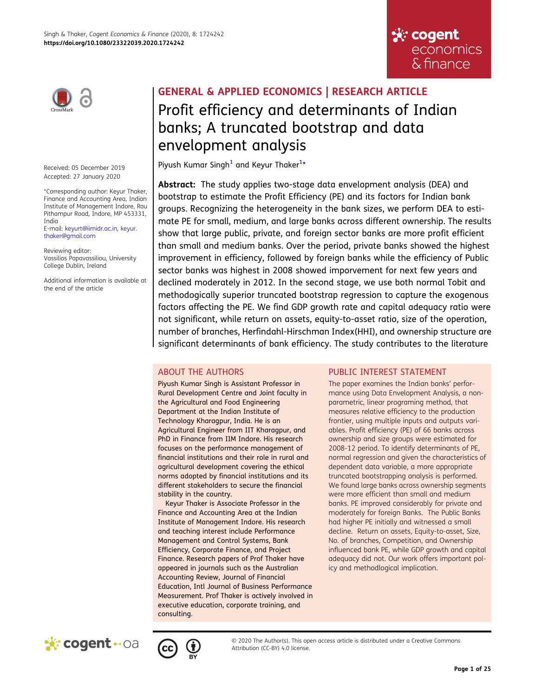

Received: 05 December 2019 Accepted: 27 January 2020

\*Corresponding author: Keyur Thaker, Finance and Accounting Area, Indian Institute of Management Indore, Rau Pithampur Road, Indore, MP 453331, India E-mail: keyurt@iimidr.ac.in, keyur. thaker@gmail.com

Reviewing editor: Vassilios Papavassiliou, University College Dublin, Ireland

Additional information is available at the end of the article

# GENERAL & APPLIED ECONOMICS | RESEARCH ARTICLE Profit efficiency and determinants of Indian banks; A truncated bootstrap and data envelopment analysis

Piyush Kumar Singh<sup>1</sup> and Keyur Thaker<sup>1</sup>\*

Abstract: The study applies two-stage data envelopment analysis (DEA) and bootstrap to estimate the Profit Efficiency (PE) and its factors for Indian bank groups. Recognizing the heterogeneity in the bank sizes, we perform DEA to estimate PE for small, medium, and large banks across different ownership. The results show that large public, private, and foreign sector banks are more profit efficient than small and medium banks. Over the period, private banks showed the highest improvement in efficiency, followed by foreign banks while the efficiency of Public sector banks was highest in 2008 showed imporvement for next few years and declined moderately in 2012. In the second stage, we use both normal Tobit and methodogically superior truncated bootstrap regression to capture the exogenous factors affecting the PE. We find GDP growth rate and capital adequacy ratio were not significant, while return on assets, equity-to-asset ratio, size of the operation, number of branches, Herfindahl-Hirschman Index(HHI), and ownership structure are significant determinants of bank efficiency. The study contributes to the literature

# ABOUT THE AUTHORS

Piyush Kumar Singh is Assistant Professor in Rural Development Centre and Joint faculty in the Agricultural and Food Engineering Department at the Indian Institute of Technology Kharagpur, India. He is an Agricultural Engineer from IIT Kharagpur, and PhD in Finance from IIM Indore. His research focuses on the performance management of financial institutions and their role in rural and agricultural development covering the ethical norms adopted by financial institutions and its different stakeholders to secure the financial stability in the country.

Keyur Thaker is Associate Professor in the Finance and Accounting Area at the Indian Institute of Management Indore. His research and teaching interest include Performance Management and Control Systems, Bank Efficiency, Corporate Finance, and Project Finance. Research papers of Prof Thaker have appeared in journals such as the Australian Accounting Review, Journal of Financial Education, Intl Journal of Business Performance Measurement. Prof Thaker is actively involved in executive education, corporate training, and consulting.

# PUBLIC INTEREST STATEMENT

**ু**: cogent

economics & finance

The paper examines the Indian banks' performance using Data Envelopment Analysis, a nonparametric, linear programing method, that measures relative efficiency to the production frontier, using multiple inputs and outputs variables. Profit efficiency (PE) of 66 banks across ownership and size groups were estimated for 2008-12 period. To identify determinants of PE, normal regression and given the characteristics of dependent data variable, a more appropriate truncated bootstrapping analysis is performed. We found large banks across ownership segments were more efficient than small and medium banks. PE improved considerably for private and moderately for foreign Banks. The Public Banks had higher PE initially and witnessed a small decline. Return on assets, Equity-to-asset, Size, No. of branches, Competition, and Ownership influenced bank PE, while GDP growth and capital adequacy did not. Our work offers important policy and methodlogical implication.





© 2020 The Author(s). This open access article is distributed under a Creative Commons Attribution (CC-BY) 4.0 license.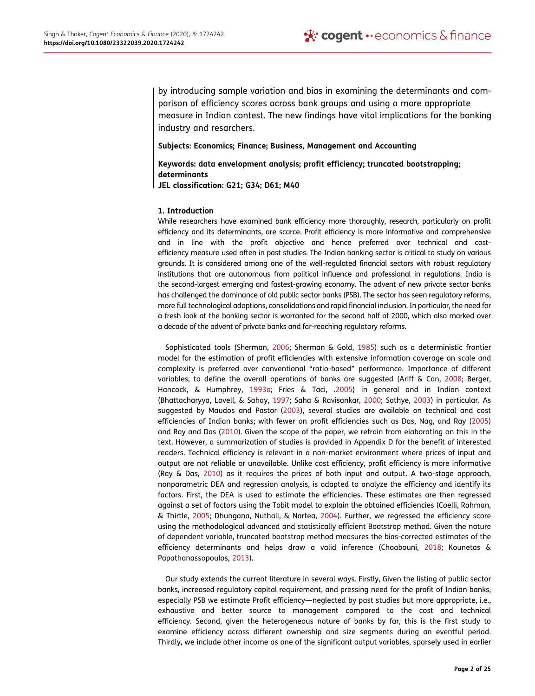by introducing sample variation and bias in examining the determinants and comparison of efficiency scores across bank groups and using a more appropriate measure in Indian contest. The new findings have vital implications for the banking industry and resarchers.

Subjects: Economics; Finance; Business, Management and Accounting

Keywords: data envelopment analysis; profit efficiency; truncated bootstrapping; determinants JEL classification: G21; G34; D61; M40

## 1. Introduction

While researchers have examined bank efficiency more thoroughly, research, particularly on profit efficiency and its determinants, are scarce. Profit efficiency is more informative and comprehensive and in line with the profit objective and hence preferred over technical and costefficiency measure used often in past studies. The Indian banking sector is critical to study on various grounds. It is considered among one of the well-regulated financial sectors with robust regulatory institutions that are autonomous from political influence and professional in regulations. India is the second-largest emerging and fastest-growing economy. The advent of new private sector banks has challenged the dominance of old public sector banks (PSB). The sector has seen regulatory reforms, more full technological adoptions, consolidations and rapid financial inclusion. In particular, the need for a fresh look at the banking sector is warranted for the second half of 2000, which also marked over a decade of the advent of private banks and far-reaching regulatory reforms.

Sophisticated tools (Sherman, 2006; Sherman & Gold, 1985) such as a deterministic frontier model for the estimation of profit efficiencies with extensive information coverage on scale and complexity is preferred over conventional "ratio-based" performance. Importance of different variables, to define the overall operations of banks are suggested (Ariff & Can, 2008; Berger, Hancock, & Humphrey, 1993a; Fries & Taci, .2005) in general and in Indian context (Bhattacharyya, Lovell, & Sahay, 1997; Saha & Ravisankar, 2000; Sathye, 2003) in particular. As suggested by Maudos and Pastor (2003), several studies are available on technical and cost efficiencies of Indian banks; with fewer on profit efficiencies such as Das, Nag, and Ray (2005) and Ray and Das (2010). Given the scope of the paper, we refrain from elaborating on this in the text. However, a summarization of studies is provided in Appendix D for the benefit of interested readers. Technical efficiency is relevant in a non-market environment where prices of input and output are not reliable or unavailable. Unlike cost efficiency, profit efficiency is more informative (Ray & Das, 2010) as it requires the prices of both input and output. A two-stage approach, nonparametric DEA and regression analysis, is adapted to analyze the efficiency and identify its factors. First, the DEA is used to estimate the efficiencies. These estimates are then regressed against a set of factors using the Tobit model to explain the obtained efficiencies (Coelli, Rahman, & Thirtle, 2005; Dhungana, Nuthall, & Nartea, 2004). Further, we regressed the efficiency score using the methodological advanced and statistically efficient Bootstrap method. Given the nature of dependent variable, truncated bootstrap method measures the bias-corrected estimates of the efficiency determinants and helps draw a valid inference (Chaabouni, 2018; Kounetas & Papathanassopoulos, 2013).

Our study extends the current literature in several ways. Firstly, Given the listing of public sector banks, increased regulatory capital requirement, and pressing need for the profit of Indian banks, especially PSB we estimate Profit efficiency—neglected by past studies but more appropriate, i.e., exhaustive and better source to management compared to the cost and technical efficiency. Second, given the heterogeneous nature of banks by far, this is the first study to examine efficiency across different ownership and size segments during an eventful period. Thirdly, we include other income as one of the significant output variables, sparsely used in earlier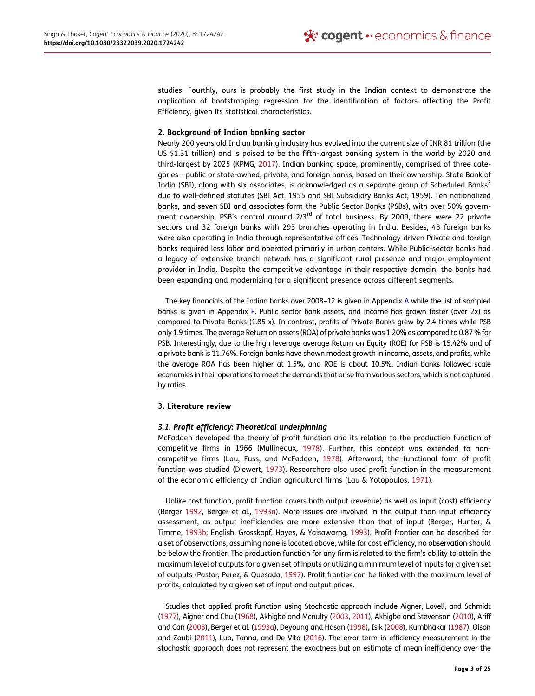studies. Fourthly, ours is probably the first study in the Indian context to demonstrate the application of bootstrapping regression for the identification of factors affecting the Profit Efficiency, given its statistical characteristics.

#### 2. Background of Indian banking sector

Nearly 200 years old Indian banking industry has evolved into the current size of INR 81 trillion (the US \$1.31 trillion) and is poised to be the fifth-largest banking system in the world by 2020 and third-largest by 2025 (KPMG, 2017). Indian banking space, prominently, comprised of three categories—public or state-owned, private, and foreign banks, based on their ownership. State Bank of India (SBI), along with six associates, is acknowledged as a separate group of Scheduled Banks<sup>2</sup> due to well-defined statutes (SBI Act, 1955 and SBI Subsidiary Banks Act, 1959). Ten nationalized banks, and seven SBI and associates form the Public Sector Banks (PSBs), with over 50% government ownership. PSB's control around  $2/3^{rd}$  of total business. By 2009, there were 22 private sectors and 32 foreign banks with 293 branches operating in India. Besides, 43 foreign banks were also operating in India through representative offices. Technology-driven Private and foreign banks required less labor and operated primarily in urban centers. While Public-sector banks had a legacy of extensive branch network has a significant rural presence and major employment provider in India. Despite the competitive advantage in their respective domain, the banks had been expanding and modernizing for a significant presence across different segments.

The key financials of the Indian banks over 2008–12 is given in Appendix A while the list of sampled banks is given in Appendix F. Public sector bank assets, and income has grown faster (over 2x) as compared to Private Banks (1.85 x). In contrast, profits of Private Banks grew by 2.4 times while PSB only 1.9 times. The average Return on assets (ROA) of private banks was 1.20% as compared to 0.87 % for PSB. Interestingly, due to the high leverage average Return on Equity (ROE) for PSB is 15.42% and of a private bank is 11.76%. Foreign banks have shown modest growth in income, assets, and profits, while the average ROA has been higher at 1.5%, and ROE is about 10.5%. Indian banks followed scale economies in their operations to meet the demands that arise from various sectors, which is not captured by ratios.

#### 3. Literature review

## *3.1. Profit efficiency: Theoretical underpinning*

McFadden developed the theory of profit function and its relation to the production function of competitive firms in 1966 (Mullineaux, 1978). Further, this concept was extended to noncompetitive firms (Lau, Fuss, and McFadden, 1978). Afterward, the functional form of profit function was studied (Diewert, 1973). Researchers also used profit function in the measurement of the economic efficiency of Indian agricultural firms (Lau & Yotopoulos, 1971).

Unlike cost function, profit function covers both output (revenue) as well as input (cost) efficiency (Berger 1992, Berger et al., 1993a). More issues are involved in the output than input efficiency assessment, as output inefficiencies are more extensive than that of input (Berger, Hunter, & Timme, 1993b; English, Grosskopf, Hayes, & Yaisawarng, 1993). Profit frontier can be described for a set of observations, assuming none is located above, while for cost efficiency, no observation should be below the frontier. The production function for any firm is related to the firm's ability to attain the maximum level of outputs for a given set of inputs or utilizing a minimum level of inputs for a given set of outputs (Pastor, Perez, & Quesada, 1997). Profit frontier can be linked with the maximum level of profits, calculated by a given set of input and output prices.

Studies that applied profit function using Stochastic approach include Aigner, Lovell, and Schmidt (1977), Aigner and Chu (1968), Akhigbe and Mcnulty (2003, 2011), Akhigbe and Stevenson (2010), Ariff and Can (2008), Berger et al. (1993a), Deyoung and Hasan (1998), Isik (2008), Kumbhakar (1987), Olson and Zoubi (2011), Luo, Tanna, and De Vita (2016). The error term in efficiency measurement in the stochastic approach does not represent the exactness but an estimate of mean inefficiency over the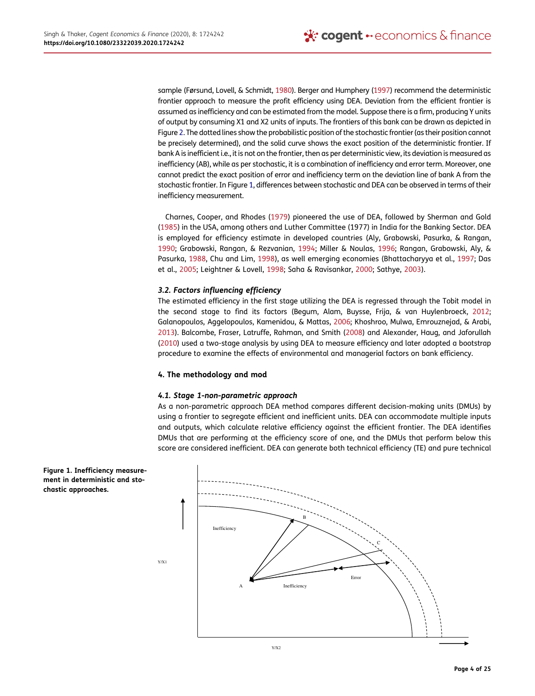sample (Førsund, Lovell, & Schmidt, 1980). Berger and Humphery (1997) recommend the deterministic frontier approach to measure the profit efficiency using DEA. Deviation from the efficient frontier is assumed as inefficiency and can be estimated from the model. Suppose there is a firm, producing Y units of output by consuming X1 and X2 units of inputs. The frontiers of this bank can be drawn as depicted in Figure 2. The dotted lines show the probabilistic position of the stochastic frontier (as their position cannot be precisely determined), and the solid curve shows the exact position of the deterministic frontier. If bank A is inefficient i.e., it is not on the frontier, then as per deterministic view, its deviation is measured as inefficiency (AB), while as per stochastic, it is a combination of inefficiency and error term. Moreover, one cannot predict the exact position of error and inefficiency term on the deviation line of bank A from the stochastic frontier. In Figure 1, differences between stochastic and DEA can be observed in terms of their inefficiency measurement.

Charnes, Cooper, and Rhodes (1979) pioneered the use of DEA, followed by Sherman and Gold (1985) in the USA, among others and Luther Committee (1977) in India for the Banking Sector. DEA is employed for efficiency estimate in developed countries (Aly, Grabowski, Pasurka, & Rangan, 1990; Grabowski, Rangan, & Rezvanian, 1994; Miller & Noulas, 1996; Rangan, Grabowski, Aly, & Pasurka, 1988, Chu and Lim, 1998), as well emerging economies (Bhattacharyya et al., 1997; Das et al., 2005; Leightner & Lovell, 1998; Saha & Ravisankar, 2000; Sathye, 2003).

## *3.2. Factors influencing efficiency*

The estimated efficiency in the first stage utilizing the DEA is regressed through the Tobit model in the second stage to find its factors (Begum, Alam, Buysse, Frija, & van Huylenbroeck, 2012; Galanopoulos, Aggelopoulos, Kamenidou, & Mattas, 2006; Khoshroo, Mulwa, Emrouznejad, & Arabi, 2013). Balcombe, Fraser, Latruffe, Rahman, and Smith (2008) and Alexander, Haug, and Jaforullah (2010) used a two-stage analysis by using DEA to measure efficiency and later adopted a bootstrap procedure to examine the effects of environmental and managerial factors on bank efficiency.

## 4. The methodology and mod

## *4.1. Stage 1-non-parametric approach*

As a non-parametric approach DEA method compares different decision-making units (DMUs) by using a frontier to segregate efficient and inefficient units. DEA can accommodate multiple inputs and outputs, which calculate relative efficiency against the efficient frontier. The DEA identifies DMUs that are performing at the efficiency score of one, and the DMUs that perform below this score are considered inefficient. DEA can generate both technical efficiency (TE) and pure technical



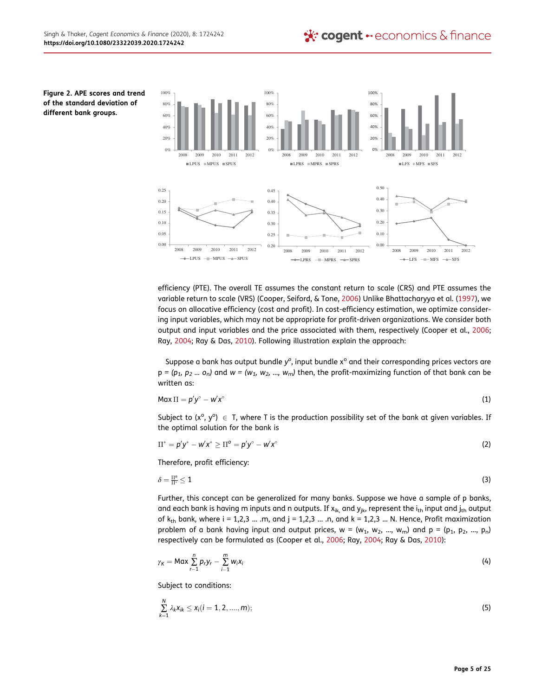Figure 2. APE scores and trend of the standard deviation of different bank groups.



efficiency (PTE). The overall TE assumes the constant return to scale (CRS) and PTE assumes the variable return to scale (VRS) (Cooper, Seiford, & Tone, 2006) Unlike Bhattacharyya et al. (1997), we focus on allocative efficiency (cost and profit). In cost-efficiency estimation, we optimize considering input variables, which may not be appropriate for profit-driven organizations. We consider both output and input variables and the price associated with them, respectively (Cooper et al., 2006; Ray, 2004; Ray & Das, 2010). Following illustration explain the approach:

Suppose a bank has output bundle y<sup>o</sup>, input bundle x<sup>o</sup> and their corresponding prices vectors are  $p = (p_1, p_2, \ldots, o_n)$  and  $w = (w_1, w_2, \ldots, w_m)$  then, the profit-maximizing function of that bank can be written as:

$$
M\alpha x \Pi = p'y^{\circ} - w'x^{\circ} \tag{1}
$$

Subject to  $(x^{\circ}, y^{\circ}) \in T$ , where T is the production possibility set of the bank at given variables. If the optimal solution for the bank is

$$
\Pi^* = p'y^* - w'x^* \geq \Pi^0 = p'y^\circ - w'x^\circ \tag{2}
$$

Therefore, profit efficiency:

$$
\delta = \frac{\Pi^o}{\Pi^*} \leq 1 \tag{3}
$$

Further, this concept can be generalized for many banks. Suppose we have a sample of p banks, and each bank is having m inputs and n outputs. If  $x_{ik}$ , and  $y_{jk}$ , represent the  $i_{th}$  input and  $j_{th}$  output of  $k_{th}$  bank, where i = 1,2,3 ... .m, and j = 1,2,3 ... .n, and k = 1,2,3 ... N. Hence, Profit maximization problem of a bank having input and output prices,  $w = (w_1, w_2, ..., w_m)$  and  $p = (p_1, p_2, ..., p_n)$ respectively can be formulated as (Cooper et al., 2006; Ray, 2004; Ray & Das, 2010):

$$
\gamma_K = \text{Max} \sum_{r=1}^n p_r y_r - \sum_{i=1}^m w_i x_i \tag{4}
$$

Subject to conditions:

$$
\sum_{k=1}^{N} \lambda_k x_{ik} \leq x_i (i = 1, 2, \dots, m);
$$
\n(5)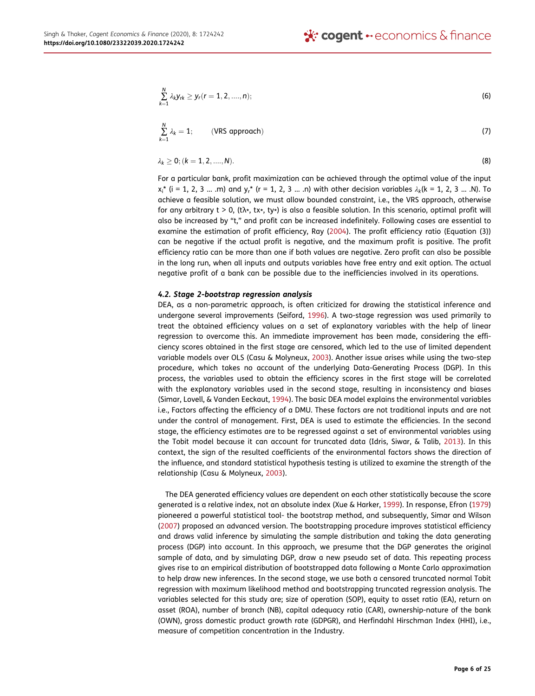$$
\sum_{k=1}^{N} \lambda_k y_{rk} \ge y_r(r=1,2,....,n);
$$
\n(6)

$$
\sum_{k=1}^{N} \lambda_k = 1; \qquad \text{(VRS approach)} \tag{7}
$$

$$
\lambda_k \geq 0; (k = 1, 2, \dots, N). \tag{8}
$$

For a particular bank, profit maximization can be achieved through the optimal value of the input  $x_i^*$  (i = 1, 2, 3 ... .m) and  $y_i^*$  (r = 1, 2, 3 ... .n) with other decision variables  $\lambda_k$ (k = 1, 2, 3 ... .N). To achieve a feasible solution, we must allow bounded constraint, i.e., the VRS approach, otherwise for any arbitrary t > 0, (tλ∗, tx∗, ty∗) is also a feasible solution. In this scenario, optimal profit will also be increased by "t," and profit can be increased indefinitely. Following cases are essential to examine the estimation of profit efficiency, Ray (2004). The profit efficiency ratio (Equation (3)) can be negative if the actual profit is negative, and the maximum profit is positive. The profit efficiency ratio can be more than one if both values are negative. Zero profit can also be possible in the long run, when all inputs and outputs variables have free entry and exit option. The actual negative profit of a bank can be possible due to the inefficiencies involved in its operations.

#### *4.2. Stage 2-bootstrap regression analysis*

DEA, as a non-parametric approach, is often criticized for drawing the statistical inference and undergone several improvements (Seiford, 1996). A two-stage regression was used primarily to treat the obtained efficiency values on a set of explanatory variables with the help of linear regression to overcome this. An immediate improvement has been made, considering the efficiency scores obtained in the first stage are censored, which led to the use of limited dependent variable models over OLS (Casu & Molyneux, 2003). Another issue arises while using the two-step procedure, which takes no account of the underlying Data-Generating Process (DGP). In this process, the variables used to obtain the efficiency scores in the first stage will be correlated with the explanatory variables used in the second stage, resulting in inconsistency and biases (Simar, Lovell, & Vanden Eeckaut, 1994). The basic DEA model explains the environmental variables i.e., Factors affecting the efficiency of a DMU. These factors are not traditional inputs and are not under the control of management. First, DEA is used to estimate the efficiencies. In the second stage, the efficiency estimates are to be regressed against a set of environmental variables using the Tobit model because it can account for truncated data (Idris, Siwar, & Talib, 2013). In this context, the sign of the resulted coefficients of the environmental factors shows the direction of the influence, and standard statistical hypothesis testing is utilized to examine the strength of the relationship (Casu & Molyneux, 2003).

The DEA generated efficiency values are dependent on each other statistically because the score generated is a relative index, not an absolute index (Xue & Harker, 1999). In response, Efron (1979) pioneered a powerful statistical tool- the bootstrap method, and subsequently, Simar and Wilson (2007) proposed an advanced version. The bootstrapping procedure improves statistical efficiency and draws valid inference by simulating the sample distribution and taking the data generating process (DGP) into account. In this approach, we presume that the DGP generates the original sample of data, and by simulating DGP, draw a new pseudo set of data. This repeating process gives rise to an empirical distribution of bootstrapped data following a Monte Carlo approximation to help draw new inferences. In the second stage, we use both a censored truncated normal Tobit regression with maximum likelihood method and bootstrapping truncated regression analysis. The variables selected for this study are; size of operation (SOP), equity to asset ratio (EA), return on asset (ROA), number of branch (NB), capital adequacy ratio (CAR), ownership-nature of the bank (OWN), gross domestic product growth rate (GDPGR), and Herfindahl Hirschman Index (HHI), i.e., measure of competition concentration in the Industry.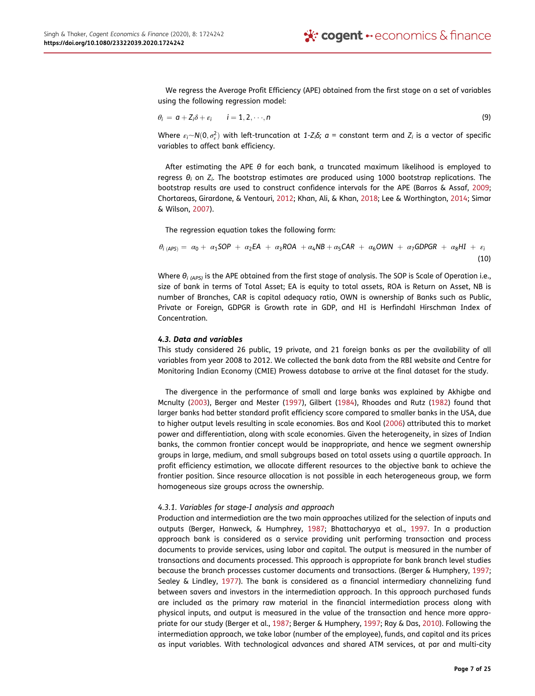We regress the Average Profit Efficiency (APE) obtained from the first stage on a set of variables using the following regression model:

$$
\theta_i = \mathbf{a} + Z_i \delta + \varepsilon_i \qquad i = 1, 2, \cdots, n
$$
\n(9)

Where  $\varepsilon_i \sim N(0, \sigma_\varepsilon^2)$  with left-truncation at 1-Z<sub>i</sub>S; a = constant term and Z<sub>i</sub> is a vector of specific variables to affect bank efficiency.

After estimating the APE  $\theta$  for each bank, a truncated maximum likelihood is employed to regress θ*<sup>i</sup>* on *Z<sup>i</sup>* . The bootstrap estimates are produced using 1000 bootstrap replications. The bootstrap results are used to construct confidence intervals for the APE (Barros & Assaf, 2009; Chortareas, Girardone, & Ventouri, 2012; Khan, Ali, & Khan, 2018; Lee & Worthington, 2014; Simar & Wilson, 2007).

The regression equation takes the following form:

$$
\theta_{i\ (APS)} = \alpha_0 + \alpha_1 SOP + \alpha_2 EA + \alpha_3 ROA + \alpha_4 NB + \alpha_5 CAR + \alpha_6 OWN + \alpha_7 GDPGR + \alpha_8 HI + \varepsilon_i
$$
\n(10)

Where θ*i (APS)* is the APE obtained from the first stage of analysis. The SOP is Scale of Operation i.e., size of bank in terms of Total Asset; EA is equity to total assets, ROA is Return on Asset, NB is number of Branches, CAR is capital adequacy ratio, OWN is ownership of Banks such as Public, Private or Foreign, GDPGR is Growth rate in GDP, and HI is Herfindahl Hirschman Index of Concentration.

#### *4.3. Data and variables*

This study considered 26 public, 19 private, and 21 foreign banks as per the availability of all variables from year 2008 to 2012. We collected the bank data from the RBI website and Centre for Monitoring Indian Economy (CMIE) Prowess database to arrive at the final dataset for the study.

The divergence in the performance of small and large banks was explained by Akhigbe and Mcnulty (2003), Berger and Mester (1997), Gilbert (1984), Rhoades and Rutz (1982) found that larger banks had better standard profit efficiency score compared to smaller banks in the USA, due to higher output levels resulting in scale economies. Bos and Kool (2006) attributed this to market power and differentiation, along with scale economies. Given the heterogeneity, in sizes of Indian banks, the common frontier concept would be inappropriate, and hence we segment ownership groups in large, medium, and small subgroups based on total assets using a quartile approach. In profit efficiency estimation, we allocate different resources to the objective bank to achieve the frontier position. Since resource allocation is not possible in each heterogeneous group, we form homogeneous size groups across the ownership.

#### *4.3.1. Variables for stage-I analysis and approach*

Production and intermediation are the two main approaches utilized for the selection of inputs and outputs (Berger, Hanweck, & Humphrey, 1987; Bhattacharyya et al., 1997. In a production approach bank is considered as a service providing unit performing transaction and process documents to provide services, using labor and capital. The output is measured in the number of transactions and documents processed. This approach is appropriate for bank branch level studies because the branch processes customer documents and transactions. (Berger & Humphery, 1997; Sealey & Lindley, 1977). The bank is considered as a financial intermediary channelizing fund between savers and investors in the intermediation approach. In this approach purchased funds are included as the primary raw material in the financial intermediation process along with physical inputs, and output is measured in the value of the transaction and hence more appropriate for our study (Berger et al., 1987; Berger & Humphery, 1997; Ray & Das, 2010). Following the intermediation approach, we take labor (number of the employee), funds, and capital and its prices as input variables. With technological advances and shared ATM services, at par and multi-city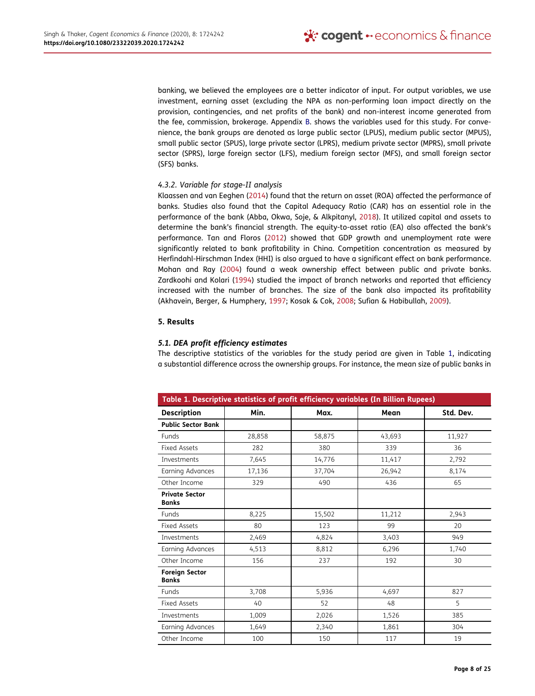banking, we believed the employees are a better indicator of input. For output variables, we use investment, earning asset (excluding the NPA as non-performing loan impact directly on the provision, contingencies, and net profits of the bank) and non-interest income generated from the fee, commission, brokerage. Appendix B. shows the variables used for this study. For convenience, the bank groups are denoted as large public sector (LPUS), medium public sector (MPUS), small public sector (SPUS), large private sector (LPRS), medium private sector (MPRS), small private sector (SPRS), large foreign sector (LFS), medium foreign sector (MFS), and small foreign sector (SFS) banks.

## *4.3.2. Variable for stage-II analysis*

Klaassen and van Eeghen (2014) found that the return on asset (ROA) affected the performance of banks. Studies also found that the Capital Adequacy Ratio (CAR) has an essential role in the performance of the bank (Abba, Okwa, Soje, & Alkpitanyl, 2018). It utilized capital and assets to determine the bank's financial strength. The equity-to-asset ratio (EA) also affected the bank's performance. Tan and Floros (2012) showed that GDP growth and unemployment rate were significantly related to bank profitability in China. Competition concentration as measured by Herfindahl-Hirschman Index (HHI) is also argued to have a significant effect on bank performance. Mohan and Ray (2004) found a weak ownership effect between public and private banks. Zardkoohi and Kolari (1994) studied the impact of branch networks and reported that efficiency increased with the number of branches. The size of the bank also impacted its profitability (Akhavein, Berger, & Humphery, 1997; Kosak & Cok, 2008; Sufian & Habibullah, 2009).

## 5. Results

# *5.1. DEA profit efficiency estimates*

The descriptive statistics of the variables for the study period are given in Table 1, indicating a substantial difference across the ownership groups. For instance, the mean size of public banks in

| Table 1. Descriptive statistics of profit efficiency variables (In Billion Rupees) |        |        |        |           |  |  |  |  |
|------------------------------------------------------------------------------------|--------|--------|--------|-----------|--|--|--|--|
| <b>Description</b>                                                                 | Min.   | Max.   | Mean   | Std. Dev. |  |  |  |  |
| <b>Public Sector Bank</b>                                                          |        |        |        |           |  |  |  |  |
| Funds                                                                              | 28,858 | 58,875 | 43,693 | 11,927    |  |  |  |  |
| <b>Fixed Assets</b>                                                                | 282    | 380    | 339    | 36        |  |  |  |  |
| Investments                                                                        | 7,645  | 14,776 | 11,417 | 2,792     |  |  |  |  |
| Earning Advances                                                                   | 17,136 | 37,704 | 26,942 | 8,174     |  |  |  |  |
| Other Income                                                                       | 329    | 490    | 436    | 65        |  |  |  |  |
| <b>Private Sector</b><br><b>Banks</b>                                              |        |        |        |           |  |  |  |  |
| Funds                                                                              | 8,225  | 15,502 | 11,212 | 2,943     |  |  |  |  |
| <b>Fixed Assets</b>                                                                | 80     | 123    | 99     | 20        |  |  |  |  |
| Investments                                                                        | 2,469  | 4,824  | 3,403  | 949       |  |  |  |  |
| Earning Advances                                                                   | 4,513  | 8,812  | 6,296  | 1,740     |  |  |  |  |
| Other Income                                                                       | 156    | 237    | 192    | 30        |  |  |  |  |
| <b>Foreign Sector</b><br><b>Banks</b>                                              |        |        |        |           |  |  |  |  |
| Funds                                                                              | 3,708  | 5,936  | 4.697  | 827       |  |  |  |  |
| <b>Fixed Assets</b>                                                                | 40     | 52     | 48     | 5         |  |  |  |  |
| Investments                                                                        | 1,009  | 2,026  | 1,526  | 385       |  |  |  |  |
| Earning Advances                                                                   | 1,649  | 2,340  | 1,861  | 304       |  |  |  |  |
| Other Income                                                                       | 100    | 150    | 117    | 19        |  |  |  |  |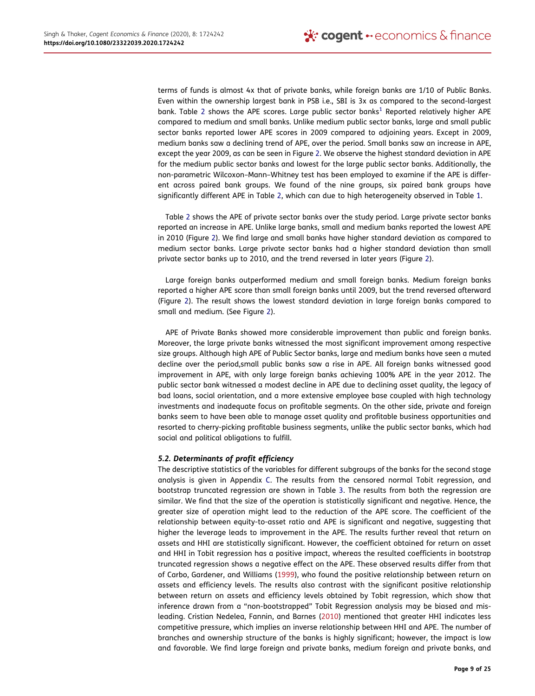terms of funds is almost 4x that of private banks, while foreign banks are 1/10 of Public Banks. Even within the ownership largest bank in PSB i.e., SBI is 3x as compared to the second-largest bank. Table 2 shows the APE scores. Large public sector banks<sup>1</sup> Reported relatively higher APE compared to medium and small banks. Unlike medium public sector banks, large and small public sector banks reported lower APE scores in 2009 compared to adjoining years. Except in 2009, medium banks saw a declining trend of APE, over the period. Small banks saw an increase in APE, except the year 2009, as can be seen in Figure 2. We observe the highest standard deviation in APE for the medium public sector banks and lowest for the large public sector banks. Additionally, the non-parametric Wilcoxon–Mann–Whitney test has been employed to examine if the APE is different across paired bank groups. We found of the nine groups, six paired bank groups have significantly different APE in Table 2, which can due to high heterogeneity observed in Table 1.

Table 2 shows the APE of private sector banks over the study period. Large private sector banks reported an increase in APE. Unlike large banks, small and medium banks reported the lowest APE in 2010 (Figure 2). We find large and small banks have higher standard deviation as compared to medium sector banks. Large private sector banks had a higher standard deviation than small private sector banks up to 2010, and the trend reversed in later years (Figure 2).

Large foreign banks outperformed medium and small foreign banks. Medium foreign banks reported a higher APE score than small foreign banks until 2009, but the trend reversed afterward (Figure 2). The result shows the lowest standard deviation in large foreign banks compared to small and medium. (See Figure 2).

APE of Private Banks showed more considerable improvement than public and foreign banks. Moreover, the large private banks witnessed the most significant improvement among respective size groups. Although high APE of Public Sector banks, large and medium banks have seen a muted decline over the period,small public banks saw a rise in APE. All foreign banks witnessed good improvement in APE, with only large foreign banks achieving 100% APE in the year 2012. The public sector bank witnessed a modest decline in APE due to declining asset quality, the legacy of bad loans, social orientation, and a more extensive employee base coupled with high technology investments and inadequate focus on profitable segments. On the other side, private and foreign banks seem to have been able to manage asset quality and profitable business opportunities and resorted to cherry-picking profitable business segments, unlike the public sector banks, which had social and political obligations to fulfill.

## *5.2. Determinants of profit efficiency*

The descriptive statistics of the variables for different subgroups of the banks for the second stage analysis is given in Appendix C. The results from the censored normal Tobit regression, and bootstrap truncated regression are shown in Table 3. The results from both the regression are similar. We find that the size of the operation is statistically significant and negative. Hence, the greater size of operation might lead to the reduction of the APE score. The coefficient of the relationship between equity-to-asset ratio and APE is significant and negative, suggesting that higher the leverage leads to improvement in the APE. The results further reveal that return on assets and HHI are statistically significant. However, the coefficient obtained for return on asset and HHI in Tobit regression has a positive impact, whereas the resulted coefficients in bootstrap truncated regression shows a negative effect on the APE. These observed results differ from that of Carbo, Gardener, and Williams (1999), who found the positive relationship between return on assets and efficiency levels. The results also contrast with the significant positive relationship between return on assets and efficiency levels obtained by Tobit regression, which show that inference drawn from a "non-bootstrapped" Tobit Regression analysis may be biased and misleading. Cristian Nedelea, Fannin, and Barnes (2010) mentioned that greater HHI indicates less competitive pressure, which implies an inverse relationship between HHI and APE. The number of branches and ownership structure of the banks is highly significant; however, the impact is low and favorable. We find large foreign and private banks, medium foreign and private banks, and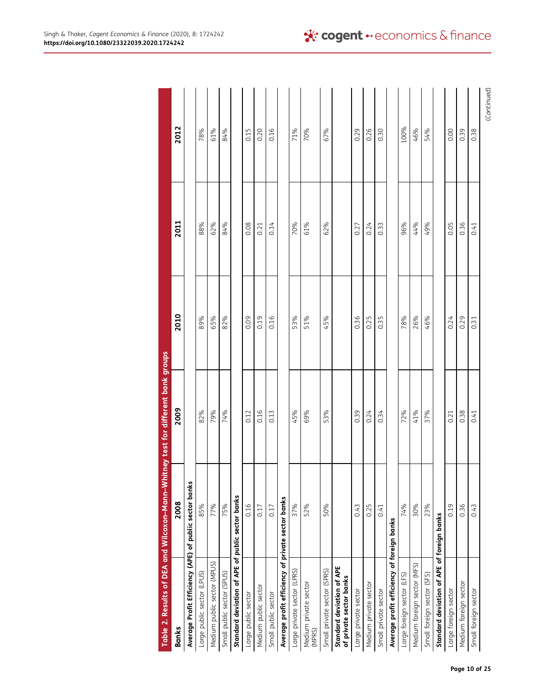| Table 2. Results of DEA and Wilcoxon-Mann-Whitney test for different bank groups |      |      |      |      |             |
|----------------------------------------------------------------------------------|------|------|------|------|-------------|
| <b>Banks</b>                                                                     | 2008 | 2009 | 2010 | 2011 | 2012        |
| Average Profit Efficiency (APE) of public sector banks                           |      |      |      |      |             |
| Large public sector (LPUS)                                                       | 85%  | 82%  | 89%  | 88%  | 78%         |
| Medium public sector (MPUS)                                                      | 77%  | 79%  | 65%  | 62%  | 61%         |
| Small public sector (SPUS)                                                       | 75%  | 74%  | 82%  | 84%  | 84%         |
| Standard deviation of APE of public sector banks                                 |      |      |      |      |             |
| Large public sector                                                              | 0.16 | 0.12 | 0.09 | 0.08 | 0.15        |
| Medium public sector                                                             | 0.17 | 0.16 | 0.19 | 0.21 | 0.20        |
| Small public sector                                                              | 0.17 | 0.13 | 0.16 | 0.14 | 0.16        |
| Average profit efficiency of private sector banks                                |      |      |      |      |             |
| Large private sector (LPRS)                                                      | 37%  | 45%  | 53%  | 70%  | 71%         |
| Medium private sector<br>(MPRS)                                                  | 52%  | 69%  | 51%  | 61%  | 70%         |
| Small private sector (SPRS)                                                      | 50%  | 53%  | 45%  | 62%  | 67%         |
| Standard deviation of APE<br>of private sector banks                             |      |      |      |      |             |
| Large private sector                                                             | 0.43 | 0.39 | 0.36 | 0.27 | 0.29        |
| Medium private sector                                                            | 0.25 | 0.24 | 0.25 | 0.24 | 0.26        |
| Small private sector                                                             | 0.41 | 0.34 | 0.35 | 0.33 | 0.30        |
| Average profit efficiency of foreign banks                                       |      |      |      |      |             |
| Large foreign sector (LFS)                                                       | 74%  | 72%  | 78%  | 96%  | 100%        |
| Medium foreign sector (MFS)                                                      | 30%  | 41%  | 26%  | 44%  | 46%         |
| Small foreign sector (SFS)                                                       | 23%  | 37%  | 46%  | 49%  | 54%         |
| Standard deviation of APE of foreign banks                                       |      |      |      |      |             |
| Large foreign sector                                                             | 0.19 | 0.21 | 0.24 | 0.05 | 0.00        |
| Medium foreign sector                                                            | 0.36 | 0.38 | 0.29 | 0.36 | 0.39        |
| Small foreign sector                                                             | 0.43 | 0.41 | 0.31 | 0.41 | 0.38        |
|                                                                                  |      |      |      |      | (Continued) |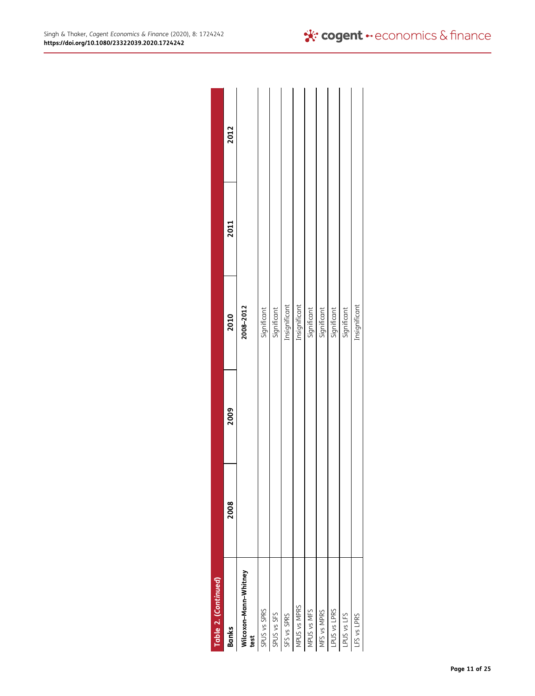| Table 2. (Continued)          |      |      |               |      |      |
|-------------------------------|------|------|---------------|------|------|
| <b>Banks</b>                  | 2008 | 2009 | 2010          | 2011 | 2012 |
| Wilcoxon-Mann-Whitney<br>test |      |      | 2008-2012     |      |      |
| SPUS vs SPRS                  |      |      | Significant   |      |      |
| SPUS vs SFS                   |      |      | Significant   |      |      |
| SFS vs SPRS                   |      |      | Insignificant |      |      |
| MPUS vs MPRS                  |      |      | Insignificant |      |      |
| MPUS vs MFS                   |      |      | Significant   |      |      |
| MFS vs MPRS                   |      |      | Significant   |      |      |
| LPUS vs LPRS                  |      |      | Significant   |      |      |
| LPUS vs LFS                   |      |      | Significant   |      |      |
| LFS vs LPRS                   |      |      | Insignificant |      |      |
|                               |      |      |               |      |      |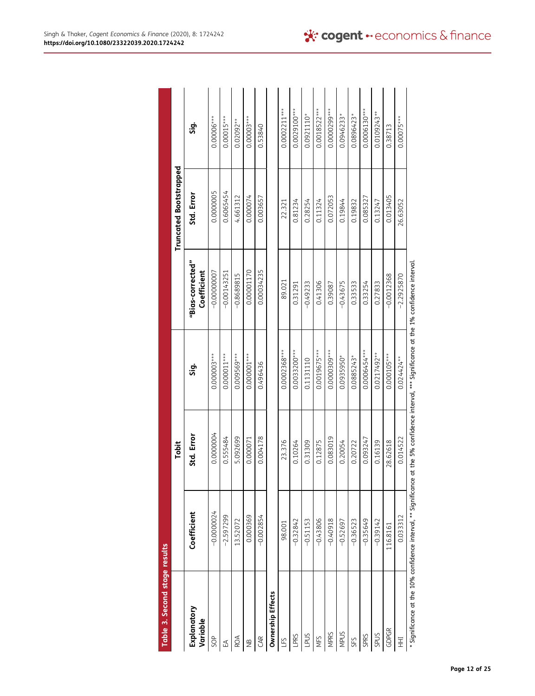| Table 3. Second stage results |                                                                                                                                                            |            |                |                                 |                               |                |
|-------------------------------|------------------------------------------------------------------------------------------------------------------------------------------------------------|------------|----------------|---------------------------------|-------------------------------|----------------|
|                               |                                                                                                                                                            | Tobit      |                |                                 | <b>Truncated Bootstrapped</b> |                |
| Explanatory<br>Variable       | Coefficient                                                                                                                                                | Std. Error | ູ່ສຸ           | "Bias-corrected"<br>Coefficient | Std. Error                    | ភ្ន            |
| <b>SOP</b>                    | $-0.0000024$                                                                                                                                               | 0.0000004  | 0.0000003***   | $-0.00000007$                   | 0.0000005                     | $0.00006***$   |
| $\mathbb{E}$                  | $-2.597299$                                                                                                                                                | 0.555484   | $0.000011***$  | $-0.00143251$                   | 0.6065454                     | $0.00015***$   |
| ROA                           | 13.52072                                                                                                                                                   | 5.092699   | $0.009569***$  | $-0.8689815$                    | 4.661312                      | $0.02092**$    |
| €                             | 0.000369                                                                                                                                                   | 0.000071   | $0.000001***$  | 0.00001170                      | 0.000074                      | $0.00003***$   |
| GAR                           | $-0.002854$                                                                                                                                                | 0.004178   | 0.496436       | 0.00034235                      | 0.003657                      | 0.53840        |
| Ownership Effects             |                                                                                                                                                            |            |                |                                 |                               |                |
| LFS                           | 98.001                                                                                                                                                     | 23.376     | 0.0002368***   | 89.021                          | 22.321                        | $0.0002211***$ |
| LPRS                          | $-0.32842$                                                                                                                                                 | 0.10264    | 0.0033200***   | 0.31291                         | 0.81234                       | $0.0029100***$ |
| LPUS                          | $-0.51153$                                                                                                                                                 | 0.31309    | 0.1131110      | $-0.49233$                      | 0.28254                       | $0.0921110*$   |
| NFS                           | $-0.43806$                                                                                                                                                 | 0.12875    | $0.0019675***$ | 0.41306                         | 0.11324                       | 0.0018522 ***  |
| <b>MPRS</b>                   | $-0.40918$                                                                                                                                                 | 0.083019   | 0.0000309***   | 0.39087                         | 0.072053                      | 0.0000299***   |
| <b>MPUS</b>                   | $-0.52697$                                                                                                                                                 | 0.20054    | 0.0935950*     | $-0.43675$                      | 0.19844                       | 0.0946233      |
| SFS                           | $-0.36523$                                                                                                                                                 | 0.20722    | 0.0885243*     | 0.33533                         | 0.19832                       | $0.0896423*$   |
| SPRS                          | $-0.35649$                                                                                                                                                 | 0.093247   | 0.0006454***   | 0.33254                         | 0.085327                      | 0.0006130***   |
| SPUS                          | $-0.39142$                                                                                                                                                 | 0.16139    | $0.0217492**$  | 0.27833                         | 0.13247                       | $0.0109243**$  |
| GDPGR                         | 116.8161                                                                                                                                                   | 28.62618   | $0.000105***$  | $-0.0012368$                    | 0.013405                      | 0.38713        |
| HH                            | 0.033312                                                                                                                                                   | 0.014522   | 0.024424**     | $-2.2925870$                    | 26.63052                      | $0.00075***$   |
|                               | $^*$ Significance at the 10% confidence interval, $^{**}$ Significance at the 5% confidence interval, $^{***}$ Significance at the 1% confidence interval. |            |                |                                 |                               |                |

| ļ                                                                                                  |
|----------------------------------------------------------------------------------------------------|
| l                                                                                                  |
|                                                                                                    |
|                                                                                                    |
|                                                                                                    |
|                                                                                                    |
|                                                                                                    |
|                                                                                                    |
|                                                                                                    |
|                                                                                                    |
|                                                                                                    |
|                                                                                                    |
| ١                                                                                                  |
|                                                                                                    |
|                                                                                                    |
|                                                                                                    |
|                                                                                                    |
|                                                                                                    |
|                                                                                                    |
|                                                                                                    |
|                                                                                                    |
|                                                                                                    |
|                                                                                                    |
|                                                                                                    |
|                                                                                                    |
| ֦֖֖֖֖֖֖֖֧֚֚֚֚֚֚֚֚֚֚֚֚֘֝֬ <u>֚֟</u><br>֧֪֖֖֖֖֧֖֧ׅ֪֪֪֪֪֪֪֪֪֪֪֪ׅ֖֚֚֚֚֚֚֚֚֚֚֚֚֚֚֚֚֚֚֚֚֚֝֝֝             |
| j<br>֧֖֖֧֧֧֧֧֦֦֦֪֪֦֧ׅ֧ׅ֧ׅ֧ׅ֧ׅ֧ׅ֧֪֧֧֧֪֛֪֛֪֛֚֚֚֚֚֚֚֚֚֚֟֘֩֘֩֩֩֓֝֓֝֓֝֓֝֓֟֓֡֟֓֡֓֡֡֡֟֓֜֓֜֓֜֓֜֓֜֓֜֓֝֬֝֬֝֬ |
|                                                                                                    |
| í                                                                                                  |
|                                                                                                    |
|                                                                                                    |
|                                                                                                    |
|                                                                                                    |
|                                                                                                    |
| ı                                                                                                  |
|                                                                                                    |
|                                                                                                    |
|                                                                                                    |
| ֚֘֝֬<br>֓֕֡<br>֖֖֖֖֖֖֖֖֖֖֖ׅ֪ׅ֪֪֪ׅ֪֪֪ׅ֪֪֪֪֪֪֪֪֪֪֪֪֪֪֪֪֪֪֪֪֪֪֪֪֪֪֪֪֪֚֚֚֚֚֚֚֚֚֚֚֚֚֚֚֚֚֚֚֚֚֚֚֬֓֩֓֬     |
| i                                                                                                  |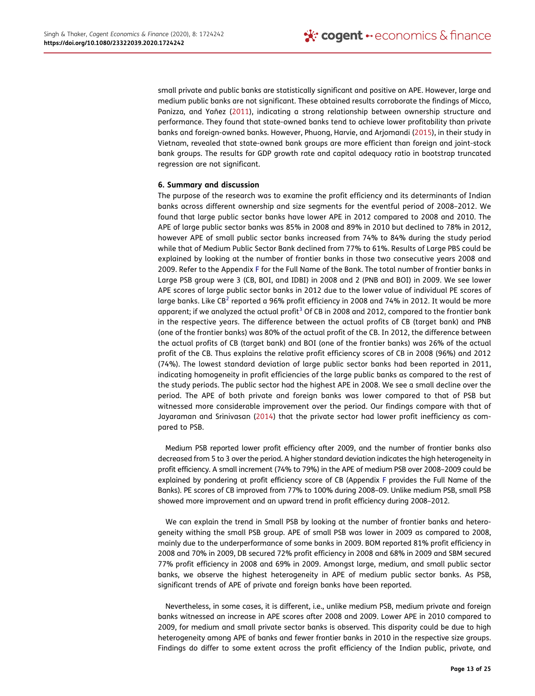small private and public banks are statistically significant and positive on APE. However, large and medium public banks are not significant. These obtained results corroborate the findings of Micco, Panizza, and Yañez (2011), indicating a strong relationship between ownership structure and performance. They found that state-owned banks tend to achieve lower profitability than private banks and foreign-owned banks. However, Phuong, Harvie, and Arjomandi (2015), in their study in Vietnam, revealed that state-owned bank groups are more efficient than foreign and joint-stock bank groups. The results for GDP growth rate and capital adequacy ratio in bootstrap truncated regression are not significant.

## 6. Summary and discussion

The purpose of the research was to examine the profit efficiency and its determinants of Indian banks across different ownership and size segments for the eventful period of 2008–2012. We found that large public sector banks have lower APE in 2012 compared to 2008 and 2010. The APE of large public sector banks was 85% in 2008 and 89% in 2010 but declined to 78% in 2012, however APE of small public sector banks increased from 74% to 84% during the study period while that of Medium Public Sector Bank declined from 77% to 61%. Results of Large PBS could be explained by looking at the number of frontier banks in those two consecutive years 2008 and 2009. Refer to the Appendix F for the Full Name of the Bank. The total number of frontier banks in Large PSB group were 3 (CB, BOI, and IDBI) in 2008 and 2 (PNB and BOI) in 2009. We see lower APE scores of large public sector banks in 2012 due to the lower value of individual PE scores of large banks. Like CB<sup>2</sup> reported a 96% profit efficiency in 2008 and 74% in 2012. It would be more apparent; if we analyzed the actual profit<sup>3</sup> Of CB in 2008 and 2012, compared to the frontier bank in the respective years. The difference between the actual profits of CB (target bank) and PNB (one of the frontier banks) was 80% of the actual profit of the CB. In 2012, the difference between the actual profits of CB (target bank) and BOI (one of the frontier banks) was 26% of the actual profit of the CB. Thus explains the relative profit efficiency scores of CB in 2008 (96%) and 2012 (74%). The lowest standard deviation of large public sector banks had been reported in 2011, indicating homogeneity in profit efficiencies of the large public banks as compared to the rest of the study periods. The public sector had the highest APE in 2008. We see a small decline over the period. The APE of both private and foreign banks was lower compared to that of PSB but witnessed more considerable improvement over the period. Our findings compare with that of Jayaraman and Srinivasan (2014) that the private sector had lower profit inefficiency as compared to PSB.

Medium PSB reported lower profit efficiency after 2009, and the number of frontier banks also decreased from 5 to 3 over the period. A higher standard deviation indicates the high heterogeneity in profit efficiency. A small increment (74% to 79%) in the APE of medium PSB over 2008–2009 could be explained by pondering at profit efficiency score of CB (Appendix F provides the Full Name of the Banks). PE scores of CB improved from 77% to 100% during 2008–09. Unlike medium PSB, small PSB showed more improvement and an upward trend in profit efficiency during 2008–2012.

We can explain the trend in Small PSB by looking at the number of frontier banks and heterogeneity withing the small PSB group. APE of small PSB was lower in 2009 as compared to 2008, mainly due to the underperformance of some banks in 2009. BOM reported 81% profit efficiency in 2008 and 70% in 2009, DB secured 72% profit efficiency in 2008 and 68% in 2009 and SBM secured 77% profit efficiency in 2008 and 69% in 2009. Amongst large, medium, and small public sector banks, we observe the highest heterogeneity in APE of medium public sector banks. As PSB, significant trends of APE of private and foreign banks have been reported.

Nevertheless, in some cases, it is different, i.e., unlike medium PSB, medium private and foreign banks witnessed an increase in APE scores after 2008 and 2009. Lower APE in 2010 compared to 2009, for medium and small private sector banks is observed. This disparity could be due to high heterogeneity among APE of banks and fewer frontier banks in 2010 in the respective size groups. Findings do differ to some extent across the profit efficiency of the Indian public, private, and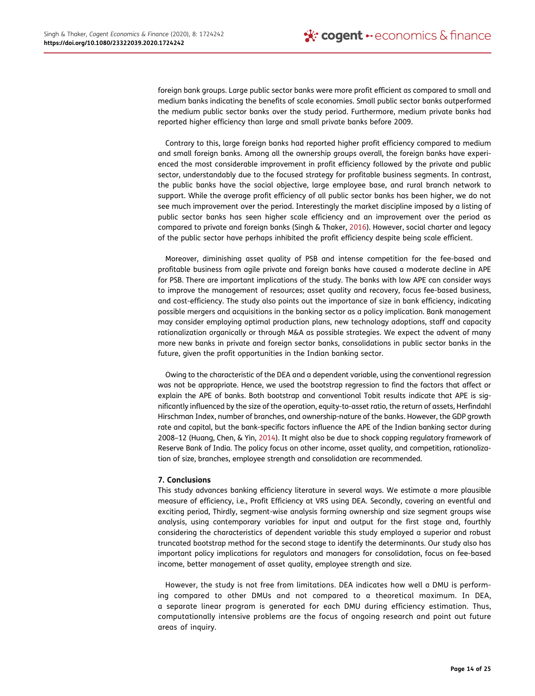foreign bank groups. Large public sector banks were more profit efficient as compared to small and medium banks indicating the benefits of scale economies. Small public sector banks outperformed the medium public sector banks over the study period. Furthermore, medium private banks had reported higher efficiency than large and small private banks before 2009.

Contrary to this, large foreign banks had reported higher profit efficiency compared to medium and small foreign banks. Among all the ownership groups overall, the foreign banks have experienced the most considerable improvement in profit efficiency followed by the private and public sector, understandably due to the focused strategy for profitable business segments. In contrast, the public banks have the social objective, large employee base, and rural branch network to support. While the average profit efficiency of all public sector banks has been higher, we do not see much improvement over the period. Interestingly the market discipline imposed by a listing of public sector banks has seen higher scale efficiency and an improvement over the period as compared to private and foreign banks (Singh & Thaker, 2016). However, social charter and legacy of the public sector have perhaps inhibited the profit efficiency despite being scale efficient.

Moreover, diminishing asset quality of PSB and intense competition for the fee-based and profitable business from agile private and foreign banks have caused a moderate decline in APE for PSB. There are important implications of the study. The banks with low APE can consider ways to improve the management of resources; asset quality and recovery, focus fee-based business, and cost-efficiency. The study also points out the importance of size in bank efficiency, indicating possible mergers and acquisitions in the banking sector as a policy implication. Bank management may consider employing optimal production plans, new technology adoptions, staff and capacity rationalization organically or through M&A as possible strategies. We expect the advent of many more new banks in private and foreign sector banks, consolidations in public sector banks in the future, given the profit opportunities in the Indian banking sector.

Owing to the characteristic of the DEA and a dependent variable, using the conventional regression was not be appropriate. Hence, we used the bootstrap regression to find the factors that affect or explain the APE of banks. Both bootstrap and conventional Tobit results indicate that APE is significantly influenced by the size of the operation, equity-to-asset ratio, the return of assets, Herfindahl Hirschman Index, number of branches, and ownership-nature of the banks. However, the GDP growth rate and capital, but the bank-specific factors influence the APE of the Indian banking sector during 2008–12 (Huang, Chen, & Yin, 2014). It might also be due to shock copping regulatory framework of Reserve Bank of India. The policy focus on other income, asset quality, and competition, rationalization of size, branches, employee strength and consolidation are recommended.

## 7. Conclusions

This study advances banking efficiency literature in several ways. We estimate a more plausible measure of efficiency, i.e., Profit Efficiency at VRS using DEA. Secondly, covering an eventful and exciting period, Thirdly, segment-wise analysis forming ownership and size segment groups wise analysis, using contemporary variables for input and output for the first stage and, fourthly considering the characteristics of dependent variable this study employed a superior and robust truncated bootstrap method for the second stage to identify the determinants. Our study also has important policy implications for regulators and managers for consolidation, focus on fee-based income, better management of asset quality, employee strength and size.

However, the study is not free from limitations. DEA indicates how well a DMU is performing compared to other DMUs and not compared to a theoretical maximum. In DEA, a separate linear program is generated for each DMU during efficiency estimation. Thus, computationally intensive problems are the focus of ongoing research and point out future areas of inquiry.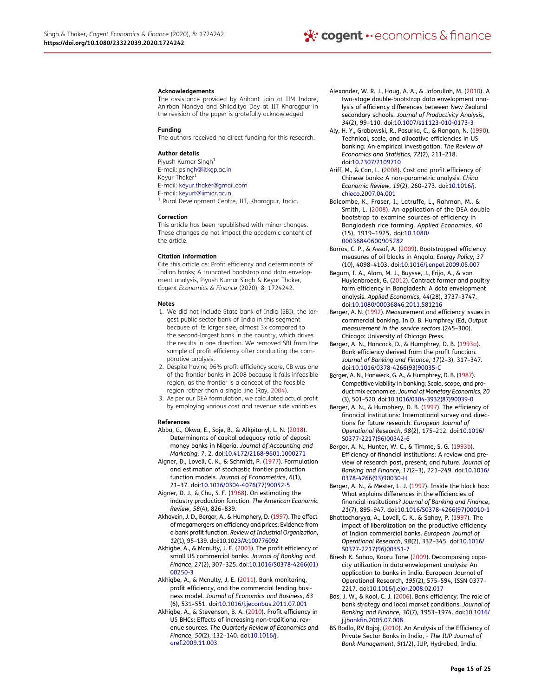#### **Acknowledgements**

The assistance provided by Arihant Jain at IIM Indore, Anirban Nandya and Shiladitya Dey at IIT Kharagpur in the revision of the paper is gratefully acknowledged

#### Funding

The authors received no direct funding for this research.

#### Author details

Piyush Kumar Singh<sup>1</sup> E-mail: psingh@iitkgp.ac.in Keyur Thaker<sup>1</sup> E-mail: keyur.thaker@gmail.com E-mail: keyurt@iimidr.ac.in <sup>1</sup> Rural Development Centre, IIT, Kharagpur, India.

#### Correction

This article has been republished with minor changes. These changes do not impact the academic content of the article.

#### Citation information

Cite this article as: Profit efficiency and determinants of Indian banks; A truncated bootstrap and data envelopment analysis, Piyush Kumar Singh & Keyur Thaker, Cogent Economics & Finance (2020), 8: 1724242.

#### Notes

- 1. We did not include State bank of India (SBI), the largest public sector bank of India in this segment because of its larger size, almost 3x compared to the second-largest bank in the country, which drives the results in one direction. We removed SBI from the sample of profit efficiency after conducting the comparative analysis.
- 2. Despite having 96% profit efficiency score, CB was one of the frontier banks in 2008 because it falls infeasible region, as the frontier is a concept of the feasible region rather than a single line (Ray, 2004).
- 3. As per our DEA formulation, we calculated actual profit by employing various cost and revenue side variables.

#### References

- Abba, G., Okwa, E., Soje, B., & Alkpitanyl, L. N. (2018). Determinants of capital adequacy ratio of deposit money banks in Nigeria. *Journal of Accounting and Marketing*, *7*, 2. doi:10.4172/2168-9601.1000271
- Aigner, D., Lovell, C. K., & Schmidt, P. (1977). Formulation and estimation of stochastic frontier production function models. *Journal of Econometrics*, *6*(1), 21–37. doi:10.1016/0304-4076(77)90052-5
- Aigner, D. J., & Chu, S. F. (1968). On estimating the industry production function. *The American Economic Review*, *58*(4), 826–839.
- Akhavein, J. D., Berger, A., & Humphery, D. (1997). The effect of megamergers on efficiency and prices: Evidence from a bank profit function. *Review of Industrial Organization*, *12*(1), 95–139. doi:10.1023/A:100776092
- Akhigbe, A., & Mcnulty, J. E. (2003). The profit efficiency of small US commercial banks. *Journal of Banking and Finance*, *27*(2), 307–325. doi:10.1016/S0378-4266(01) 00250-3
- Akhigbe, A., & Mcnulty, J. E. (2011). Bank monitoring, profit efficiency, and the commercial lending business model. *Journal of Economics and Business*, *63* (6), 531–551. doi:10.1016/j.jeconbus.2011.07.001
- Akhigbe, A., & Stevenson, B. A. (2010). Profit efficiency in US BHCs: Effects of increasing non-traditional revenue sources. *The Quarterly Review of Economics and Finance*, *50*(2), 132–140. doi:10.1016/j. qref.2009.11.003
- Alexander, W. R. J., Haug, A. A., & Jaforullah, M. (2010). A two-stage double-bootstrap data envelopment analysis of efficiency differences between New Zealand secondary schools. *Journal of Productivity Analysis*, *34*(2), 99–110. doi:10.1007/s11123-010-0173-3
- Aly, H. Y., Grabowski, R., Pasurka, C., & Rangan, N. (1990). Technical, scale, and allocative efficiencies in US banking: An empirical investigation. *The Review of Economics and Statistics*, *72*(2), 211–218. doi:10.2307/2109710
- Ariff, M., & Can, L. (2008). Cost and profit efficiency of Chinese banks: A non-parametric analysis. *China Economic Review*, *19*(2), 260–273. doi:10.1016/j. chieco.2007.04.001
- Balcombe, K., Fraser, I., Latruffe, L., Rahman, M., & Smith, L. (2008). An application of the DEA double bootstrap to examine sources of efficiency in Bangladesh rice farming. *Applied Economics*, *40* (15), 1919–1925. doi:10.1080/ 00036840600905282
- Barros, C. P., & Assaf, A. (2009). Bootstrapped efficiency measures of oil blocks in Angola. *Energy Policy*, *37* (10), 4098–4103. doi:10.1016/j.enpol.2009.05.007
- Begum, I. A., Alam, M. J., Buysse, J., Frija, A., & van Huylenbroeck, G. (2012). Contract farmer and poultry farm efficiency in Bangladesh: A data envelopment analysis. *Applied Economics*, *44*(28), 3737–3747. doi:10.1080/00036846.2011.581216
- Berger, A. N. (1992). Measurement and efficiency issues in commercial banking. In D. B. Humphrey (Ed, *Output measurement in the service sectors* (245–300). Chicago: University of Chicago Press.
- Berger, A. N., Hancock, D., & Humphrey, D. B. (1993a). Bank efficiency derived from the profit function. *Journal of Banking and Finance*, *17*(2–3), 317–347. doi:10.1016/0378-4266(93)90035-C
- Berger, A. N., Hanweck, G. A., & Humphrey, D. B. (1987). Competitive viability in banking: Scale, scope, and product mix economies. *Journal of Monetary Economics*, *20* (3), 501–520. doi:10.1016/0304-3932(87)90039-0
- Berger, A. N., & Humphery, D. B. (1997). The efficiency of financial institutions: International survey and directions for future research. *European Journal of Operational Research*, *98*(2), 175–212. doi:10.1016/ S0377-2217(96)00342-6
- Berger, A. N., Hunter, W. C., & Timme, S. G. (1993b). Efficiency of financial institutions: A review and preview of research past, present, and future. *Journal of Banking and Finance*, *17*(2–3), 221–249. doi:10.1016/ 0378-4266(93)90030-H
- Berger, A. N., & Mester, L. J. (1997). Inside the black box: What explains differences in the efficiencies of financial institutions? *Journal of Banking and Finance*, *21*(7), 895–947. doi:10.1016/S0378-4266(97)00010-1
- Bhattacharyya, A., Lovell, C. K., & Sahay, P. (1997). The impact of liberalization on the productive efficiency of Indian commercial banks. *European Journal of Operational Research*, *98*(2), 332–345. doi:10.1016/ S0377-2217(96)00351-7
- Biresh K. Sahoo, Kaoru Tone (2009). Decomposing capacity utilization in data envelopment analysis: An application to banks in India. European Journal of Operational Research, *195*(2), 575–594, ISSN 0377– 2217. doi:10.1016/j.ejor.2008.02.017
- Bos, J. W., & Kool, C. J. (2006). Bank efficiency: The role of bank strategy and local market conditions. *Journal of Banking and Finance*, *30*(7), 1953–1974. doi:10.1016/ j.jbankfin.2005.07.008
- BS Bodla, RV Bajaj, (2010). An Analysis of the Efficiency of Private Sector Banks in India, - *The IUP Journal of Bank Management*, *9*(1/2), IUP, Hydrabad, India.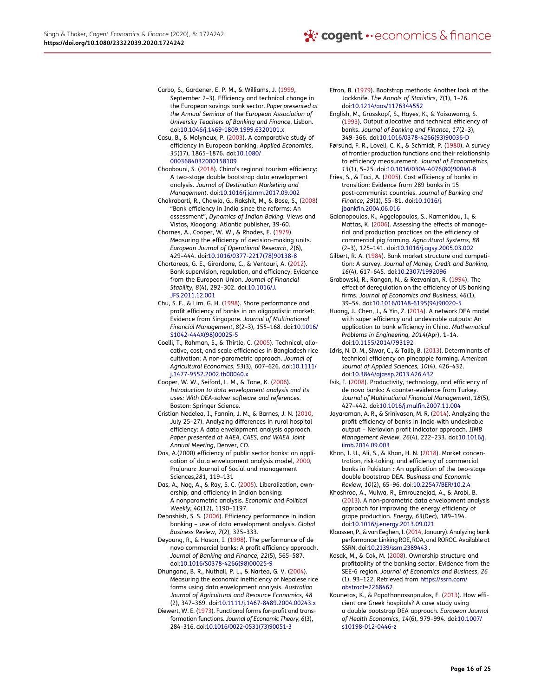- Carbo, S., Gardener, E. P. M., & Williams, J. (1999, September 2–3). Efficiency and technical change in the European savings bank sector. *Paper presented at the Annual Seminar of the European Association of University Teachers of Banking and Finance*, Lisbon. doi:10.1046/j.1469-1809.1999.6320101.x
- Casu, B., & Molyneux, P. (2003). A comparative study of efficiency in European banking. *Applied Economics*, *35*(17), 1865–1876. doi:10.1080/ 0003684032000158109
- Chaabouni, S. (2018). China's regional tourism efficiency: A two-stage double bootstrap data envelopment analysis. *Journal of Destination Marketing and Management*. doi:10.1016/j.jdmm.2017.09.002
- Chakrabarti, R., Chawla, G., Rakshit, M., & Bose, S., (2008) "Bank efficiency in India since the reforms: An assessment", *Dynamics of Indian Baking*: Views and Vistas, Xiaogang: Atlantic publisher, 39-60.
- Charnes, A., Cooper, W. W., & Rhodes, E. (1979). Measuring the efficiency of decision-making units. *European Journal of Operational Research*, *2*(6), 429–444. doi:10.1016/0377-2217(78)90138-8
- Chortareas, G. E., Girardone, C., & Ventouri, A. (2012). Bank supervision, regulation, and efficiency: Evidence from the European Union. *Journal of Financial Stability*, *8*(4), 292–302. doi:10.1016/J. JFS.2011.12.001
- Chu, S. F., & Lim, G. H. (1998). Share performance and profit efficiency of banks in an oligopolistic market: Evidence from Singapore. *Journal of Multinational Financial Management*, *8*(2–3), 155–168. doi:10.1016/ S1042-444X(98)00025-5
- Coelli, T., Rahman, S., & Thirtle, C. (2005). Technical, allocative, cost, and scale efficiencies in Bangladesh rice cultivation: A non-parametric approach. *Journal of Agricultural Economics*, *53*(3), 607–626. doi:10.1111/ j.1477-9552.2002.tb00040.x
- Cooper, W. W., Seiford, L. M., & Tone, K. (2006). *Introduction to data envelopment analysis and its uses: With DEA-solver software and references*. Boston: Springer Science.
- Cristian Nedelea, I., Fannin, J. M., & Barnes, J. N. (2010, July 25–27). Analyzing differences in rural hospital efficiency: A data envelopment analysis approach. *Paper presented at AAEA, CAES, and WAEA Joint Annual Meeting*, Denver, CO.
- Das, A.(2000) efficiency of public sector banks: an application of data envelopment analysis model, 2000, Prajanan: Journal of Social and management Sciences,*28*1, 119–131
- Das, A., Nag, A., & Ray, S. C. (2005). Liberalization, ownership, and efficiency in Indian banking: A nonparametric analysis. *Economic and Political Weekly*, *40*(12), 1190–1197.
- Debashish, S. S. (2006). Efficiency performance in indian banking – use of data envelopment analysis. *Global Business Review*, *7*(2), 325–333.
- Deyoung, R., & Hasan, I. (1998). The performance of de novo commercial banks: A profit efficiency approach. *Journal of Banking and Finance*, *22*(5), 565–587. doi:10.1016/S0378-4266(98)00025-9
- Dhungana, B. R., Nuthall, P. L., & Nartea, G. V. (2004). Measuring the economic inefficiency of Nepalese rice farms using data envelopment analysis. *Australian Journal of Agricultural and Resource Economics*, *48* (2), 347–369. doi:10.1111/j.1467-8489.2004.00243.x
- Diewert, W. E. (1973). Functional forms for-profit and transformation functions. *Journal of Economic Theory*, *6*(3), 284–316. doi:10.1016/0022-0531(73)90051-3
- Efron, B. (1979). Bootstrap methods: Another look at the Jackknife. *The Annals of Statistics*, *7*(1), 1–26. doi:10.1214/aos/1176344552
- English, M., Grosskopf, S., Hayes, K., & Yaisawarng, S. (1993). Output allocative and technical efficiency of banks. *Journal of Banking and Finance*, *17*(2–3), 349–366. doi:10.1016/0378-4266(93)90036-D
- Førsund, F. R., Lovell, C. K., & Schmidt, P. (1980). A survey of frontier production functions and their relationship to efficiency measurement. *Journal of Econometrics*, *13*(1), 5–25. doi:10.1016/0304-4076(80)90040-8
- Fries, S., & Taci, A. (2005). Cost efficiency of banks in transition: Evidence from 289 banks in 15 post-communist countries. *Journal of Banking and Finance*, *29*(1), 55–81. doi:10.1016/j. jbankfin.2004.06.016
- Galanopoulos, K., Aggelopoulos, S., Kamenidou, I., & Mattas, K. (2006). Assessing the effects of managerial and production practices on the efficiency of commercial pig farming. *Agricultural Systems*, *88* (2–3), 125–141. doi:10.1016/j.agsy.2005.03.002
- Gilbert, R. A. (1984). Bank market structure and competition: A survey. *Journal of Money, Credit and Banking*, *16*(4), 617–645. doi:10.2307/1992096
- Grabowski, R., Rangan, N., & Rezvanian, R. (1994). The effect of deregulation on the efficiency of US banking firms. *Journal of Economics and Business*, *46*(1), 39–54. doi:10.1016/0148-6195(94)90020-5
- Huang, J., Chen, J., & Yin, Z. (2014). A network DEA model with super efficiency and undesirable outputs: An application to bank efficiency in China. *Mathematical Problems in Engineering*, *2014*(Apr), 1–14. doi:10.1155/2014/793192
- Idris, N. D. M., Siwar, C., & Talib, B. (2013). Determinants of technical efficiency on pineapple farming. *American Journal of Applied Sciences*, *10*(4), 426–432. doi:10.3844/ajassp.2013.426.432
- Isik, I. (2008). Productivity, technology, and efficiency of de novo banks: A counter-evidence from Turkey. *Journal of Multinational Financial Management*, *18*(5), 427–442. doi:10.1016/j.mulfin.2007.11.004
- Jayaraman, A. R., & Srinivasan, M. R. (2014). Analyzing the profit efficiency of banks in India with undesirable output – Nerlovian profit indicator approach. *IIMB Management Review*, *26*(4), 222–233. doi:10.1016/j. iimb.2014.09.003
- Khan, I. U., Ali, S., & Khan, H. N. (2018). Market concentration, risk-taking, and efficiency of commercial banks in Pakistan : An application of the two-stage double bootstrap DEA. *Business and Economic Review*, *10*(2), 65–96. doi:10.22547/BER/10.2.4
- Khoshroo, A., Mulwa, R., Emrouznejad, A., & Arabi, B. (2013). A non-parametric data envelopment analysis approach for improving the energy efficiency of grape production. *Energy*, *63*(Dec), 189–194. doi:10.1016/j.energy.2013.09.021
- Klaassen, P., & van Eeghen, I. (2014, January). Analyzing bank performance: Linking ROE, ROA, and ROROC. Available at SSRN. doi:10.2139/ssrn.2389443 .
- Kosak, M., & Cok, M. (2008). Ownership structure and profitability of the banking sector: Evidence from the SEE-6 region. *Journal of Economics and Business*, *26* (1), 93–122. Retrieved from https://ssrn.com/ abstract=2268462
- Kounetas, K., & Papathanassopoulos, F. (2013). How efficient are Greek hospitals? A case study using a double bootstrap DEA approach. *European Journal of Health Economics*, *14*(6), 979–994. doi:10.1007/ s10198-012-0446-z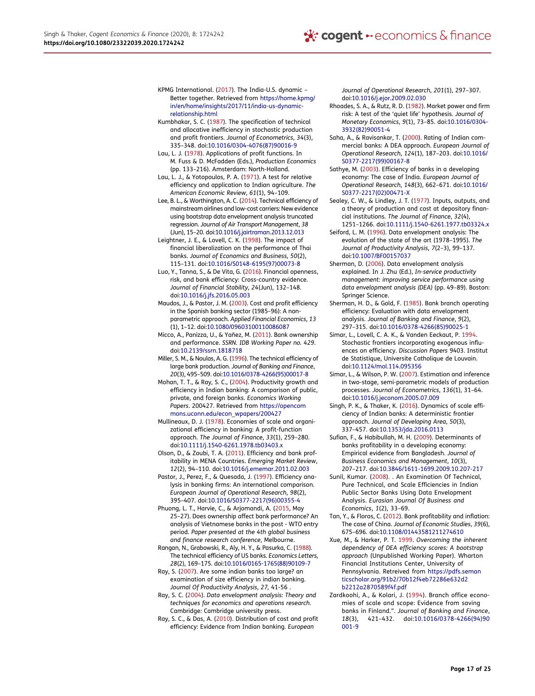- KPMG International. (2017). The India-U.S. dynamic Better together. Retrieved from https://home.kpmg/ in/en/home/insights/2017/11/india-us-dynamicrelationship.html
- Kumbhakar, S. C. (1987). The specification of technical and allocative inefficiency in stochastic production and profit frontiers. *Journal of Econometrics*, *34*(3), 335–348. doi:10.1016/0304-4076(87)90016-9
- Lau, L. J. (1978). Applications of profit functions. In M. Fuss & D. McFadden (Eds.), *Production Economics* (pp. 133–216). Amsterdam: North-Holland.
- Lau, L. J., & Yotopoulos, P. A. (1971). A test for relative efficiency and application to Indian agriculture. *The American Economic Review*, *61*(1), 94–109.
- Lee, B. L., & Worthington, A. C. (2014). Technical efficiency of mainstream airlines and low-cost carriers: New evidence using bootstrap data envelopment analysis truncated regression. *Journal of Air Transport Management*, *38* (Jun), 15–20. doi:10.1016/j.jairtraman.2013.12.013
- Leightner, J. E., & Lovell, C. K. (1998). The impact of financial liberalization on the performance of Thai banks. *Journal of Economics and Business*, *50*(2), 115–131. doi:10.1016/S0148-6195(97)00073-8
- Luo, Y., Tanna, S., & De Vita, G. (2016). Financial openness, risk, and bank efficiency: Cross-country evidence. *Journal of Financial Stability*, *24*(Jun), 132–148. doi:10.1016/j.jfs.2016.05.003
- Maudos, J., & Pastor, J. M. (2003). Cost and profit efficiency in the Spanish banking sector (1985–96): A nonparametric approach. *Applied Financial Economics*, *13* (1), 1–12. doi:10.1080/09603100110086087
- Micco, A., Panizza, U., & Yañez, M. (2011). Bank ownership and performance. *SSRN. IDB Working Paper no. 429*. doi:10.2139/ssrn.1818718
- Miller, S. M., & Noulas, A. G. (1996). The technical efficiency of large bank production. *Journal of Banking and Finance*, *20*(3), 495–509. doi:10.1016/0378-4266(95)00017-8
- Mohan, T. T., & Ray, S. C., (2004). Productivity growth and efficiency in Indian banking: A comparison of public, private, and foreign banks. *Economics Working Papers*. 200427. Retrieved from https://opencom mons.uconn.edu/econ\_wpapers/200427
- Mullineaux, D. J. (1978). Economies of scale and organizational efficiency in banking: A profit-function approach. *The Journal of Finance*, *33*(1), 259–280. doi:10.1111/j.1540-6261.1978.tb03403.x
- Olson, D., & Zoubi, T. A. (2011). Efficiency and bank profitability in MENA Countries. *Emerging Market Review*, *12*(2), 94–110. doi:10.1016/j.ememar.2011.02.003
- Pastor, J., Perez, F., & Quesada, J. (1997). Efficiency analysis in banking firms: An international comparison. *European Journal of Operational Research*, *98*(2), 395–407. doi:10.1016/S0377-2217(96)00355-4
- Phuong, L. T., Harvie, C., & Arjomandi, A. (2015, May 25–27). Does ownership affect bank performance? An analysis of Vietnamese banks in the post - WTO entry period. *Paper presented at the 4th global business and finance research conference*, Melbourne.
- Rangan, N., Grabowski, R., Aly, H. Y., & Pasurka, C. (1988). The technical efficiency of US banks. *Economics Letters*, *28*(2), 169–175. doi:10.1016/0165-1765(88)90109-7
- Ray, S. (2007). Are some indian banks too large? an examination of size efficiency in indian banking. *Journal Of Productivity Analysis*, *27,* 41-56 .
- Ray, S. C. (2004). *Data envelopment analysis: Theory and techniques for economics and operations research*. Cambridge: Cambridge university press.
- Ray, S. C., & Das, A. (2010). Distribution of cost and profit efficiency: Evidence from Indian banking. *European*

*Journal of Operational Research*, *201*(1), 297–307. doi:10.1016/j.ejor.2009.02.030

- Rhoades, S. A., & Rutz, R. D. (1982). Market power and firm risk: A test of the 'quiet life' hypothesis. *Journal of Monetary Economics*, *9*(1), 73–85. doi:10.1016/0304- 3932(82)90051-4
- Saha, A., & Ravisankar, T. (2000). Rating of Indian commercial banks: A DEA approach. *European Journal of Operational Research*, *124*(1), 187–203. doi:10.1016/ S0377-2217(99)00167-8
- Sathye, M. (2003). Efficiency of banks in a developing economy: The case of India. *European Journal of Operational Research*, *148*(3), 662–671. doi:10.1016/ S0377-2217(02)00471-X
- Sealey, C. W., & Lindley, J. T. (1977). Inputs, outputs, and a theory of production and cost at depository financial institutions. *The Journal of Finance*, *32*(4), 1251–1266. doi:10.1111/j.1540-6261.1977.tb03324.x
- Seiford, L. M. (1996). Data envelopment analysis: The evolution of the state of the art (1978–1995). *The Journal of Productivity Analysis*, *7*(2–3), 99–137. doi:10.1007/BF00157037
- Sherman, D. (2006). Data envelopment analysis explained. In J. Zhu (Ed.), *In-service productivity management: improving service performance using data envelopment analysis (DEA)* (pp. 49–89). Boston: Springer Science.
- Sherman, H. D., & Gold, F. (1985). Bank branch operating efficiency: Evaluation with data envelopment analysis. *Journal of Banking and Finance*, *9*(2), 297–315. doi:10.1016/0378-4266(85)90025-1
- Simar, L., Lovell, C. A. K., & Vanden Eeckaut, P. 1994. Stochastic frontiers incorporating exogenous influences on efficiency. *Discussion Papers* 9403. Institut de Statistique, Universite Catholique de Louvain. doi:10.1124/mol.114.095356
- Simar, L., & Wilson, P. W. (2007). Estimation and inference in two-stage, semi-parametric models of production processes. *Journal of Econometrics*, *136*(1), 31–64. doi:10.1016/j.jeconom.2005.07.009
- Singh, P. K., & Thaker, K. (2016). Dynamics of scale efficiency of Indian banks: A deterministic frontier approach. *Journal of Developing Area*, *50*(3), 337–457. doi:10.1353/jda.2016.0113
- Sufian, F., & Habibullah, M. H. (2009). Determinants of banks profitability in a developing economy: Empirical evidence from Bangladesh. *Journal of Business Economics and Management*, *10*(3), 207–217. doi:10.3846/1611-1699.2009.10.207-217
- Sunil, Kumar. (2008). . An Examination Of Technical, Pure Technical, and Scale Efficiencies in Indian Public Sector Banks Using Data Envelopment Analysis. *Eurasian Journal Of Business and Economics*, *1*(2), 33–69.
- Tan, Y., & Floros, C. (2012). Bank profitability and inflation: The case of China. *Journal of Economic Studies*, *39*(6), 675–696. doi:10.1108/01443581211274610
- Xue, M., & Harker, P. T. 1999. *Overcoming the inherent dependency of DEA efficiency scores: A bootstrap approach* (Unpublished Working Paper). Wharton Financial Institutions Center, University of Pennsylvania. Retreived from https://pdfs.seman ticscholar.org/91b2/70b12f4eb72286e632d2 b2212a2870589f4f.pdf
- Zardkoohi, A., & Kolari, J. (1994). Branch office economies of scale and scope: Evidence from saving banks in Finland.". *Journal of Banking and Finance*, *18*(3), 421–432. doi:10.1016/0378-4266(94)90 001-9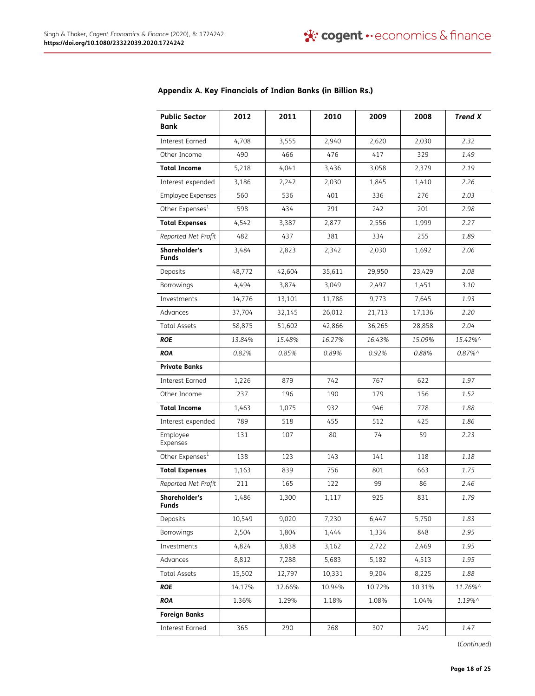| <b>Public Sector</b><br>Bank  | 2012   | 2011   | 2010   | 2009   | 2008   | <b>Trend X</b>        |
|-------------------------------|--------|--------|--------|--------|--------|-----------------------|
| <b>Interest Earned</b>        | 4,708  | 3,555  | 2,940  | 2,620  | 2,030  | 2.32                  |
| Other Income                  | 490    | 466    | 476    | 417    | 329    | 1.49                  |
| <b>Total Income</b>           | 5,218  | 4,041  | 3,436  | 3,058  | 2,379  | 2.19                  |
| Interest expended             | 3,186  | 2,242  | 2,030  | 1,845  | 1,410  | 2.26                  |
| Employee Expenses             | 560    | 536    | 401    | 336    | 276    | 2.03                  |
| Other Expenses <sup>1</sup>   | 598    | 434    | 291    | 242    | 201    | 2.98                  |
| <b>Total Expenses</b>         | 4,542  | 3,387  | 2,877  | 2,556  | 1,999  | 2.27                  |
| Reported Net Profit           | 482    | 437    | 381    | 334    | 255    | 1.89                  |
| Shareholder's<br><b>Funds</b> | 3,484  | 2,823  | 2,342  | 2,030  | 1,692  | 2.06                  |
| Deposits                      | 48,772 | 42,604 | 35,611 | 29,950 | 23,429 | 2.08                  |
| Borrowings                    | 4,494  | 3,874  | 3,049  | 2,497  | 1,451  | 3.10                  |
| Investments                   | 14,776 | 13,101 | 11,788 | 9,773  | 7,645  | 1.93                  |
| Advances                      | 37,704 | 32,145 | 26,012 | 21,713 | 17,136 | 2.20                  |
| <b>Total Assets</b>           | 58,875 | 51,602 | 42,866 | 36,265 | 28,858 | 2.04                  |
| <b>ROE</b>                    | 13.84% | 15.48% | 16.27% | 16.43% | 15.09% | 15.42%^               |
| <b>ROA</b>                    | 0.82%  | 0.85%  | 0.89%  | 0.92%  | 0.88%  | $0.87\%$ <sup>^</sup> |
| <b>Private Banks</b>          |        |        |        |        |        |                       |
| Interest Earned               | 1,226  | 879    | 742    | 767    | 622    | 1.97                  |
| Other Income                  | 237    | 196    | 190    | 179    | 156    | 1.52                  |
| <b>Total Income</b>           | 1,463  | 1,075  | 932    | 946    | 778    | 1.88                  |
| Interest expended             | 789    | 518    | 455    | 512    | 425    | 1.86                  |
| Employee<br>Expenses          | 131    | 107    | 80     | 74     | 59     | 2.23                  |
| Other Expenses <sup>1</sup>   | 138    | 123    | 143    | 141    | 118    | 1.18                  |
| <b>Total Expenses</b>         | 1,163  | 839    | 756    | 801    | 663    | 1.75                  |
| Reported Net Profit           | 211    | 165    | 122    | 99     | 86     | 2.46                  |
| Shareholder's<br><b>Funds</b> | 1,486  | 1,300  | 1,117  | 925    | 831    | 1.79                  |
| Deposits                      | 10,549 | 9,020  | 7,230  | 6,447  | 5,750  | 1.83                  |
| Borrowings                    | 2,504  | 1,804  | 1,444  | 1,334  | 848    | 2.95                  |
| Investments                   | 4,824  | 3,838  | 3,162  | 2,722  | 2,469  | 1.95                  |
| Advances                      | 8,812  | 7,288  | 5,683  | 5,182  | 4,513  | 1.95                  |
| <b>Total Assets</b>           | 15,502 | 12,797 | 10,331 | 9,204  | 8,225  | 1.88                  |
| <b>ROE</b>                    | 14.17% | 12.66% | 10.94% | 10.72% | 10.31% | 11.76%^               |
| <b>ROA</b>                    | 1.36%  | 1.29%  | 1.18%  | 1.08%  | 1.04%  | 1.19%^                |
| <b>Foreign Banks</b>          |        |        |        |        |        |                       |
| <b>Interest Earned</b>        | 365    | 290    | 268    | 307    | 249    | 1.47                  |

# Appendix A. Key Financials of Indian Banks (in Billion Rs.)

(Continued)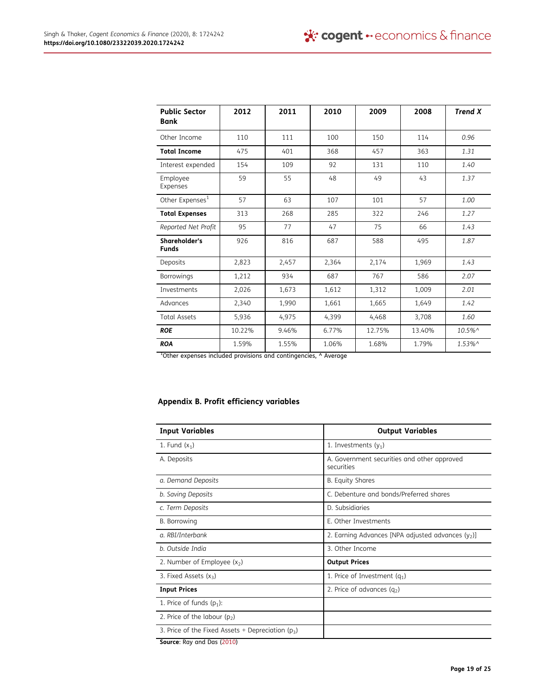| <b>Public Sector</b><br><b>Bank</b> | 2012   | 2011  | 2010  | 2009   | 2008   | <b>Trend X</b>                         |
|-------------------------------------|--------|-------|-------|--------|--------|----------------------------------------|
| Other Income                        | 110    | 111   | 100   | 150    | 114    | 0.96                                   |
| <b>Total Income</b>                 | 475    | 401   | 368   | 457    | 363    | 1.31                                   |
| Interest expended                   | 154    | 109   | 92    | 131    | 110    | 1.40                                   |
| Employee<br>Expenses                | 59     | 55    | 48    | 49     | 43     | 1.37                                   |
| Other Expenses <sup>1</sup>         | 57     | 63    | 107   | 101    | 57     | 1.00                                   |
| <b>Total Expenses</b>               | 313    | 268   | 285   | 322    | 246    | 1.27                                   |
| Reported Net Profit                 | 95     | 77    | 47    | 75     | 66     | 1.43                                   |
| Shareholder's<br><b>Funds</b>       | 926    | 816   | 687   | 588    | 495    | 1.87                                   |
| Deposits                            | 2,823  | 2,457 | 2,364 | 2,174  | 1,969  | 1.43                                   |
| Borrowings                          | 1,212  | 934   | 687   | 767    | 586    | 2.07                                   |
| <b>Investments</b>                  | 2,026  | 1,673 | 1,612 | 1,312  | 1,009  | 2.01                                   |
| Advances                            | 2,340  | 1,990 | 1,661 | 1,665  | 1,649  | 1.42                                   |
| <b>Total Assets</b>                 | 5,936  | 4,975 | 4,399 | 4,468  | 3,708  | 1.60                                   |
| <b>ROE</b>                          | 10.22% | 9.46% | 6.77% | 12.75% | 13.40% | $10.5\%$ <sup><math>\land</math></sup> |
| <b>ROA</b>                          | 1.59%  | 1.55% | 1.06% | 1.68%  | 1.79%  | $1.53\%$ ^                             |

<sup>1</sup>Other expenses included provisions and contingencies, ^ Average

# Appendix B. Profit efficiency variables

| <b>Input Variables</b>                                | <b>Output Variables</b>                                   |
|-------------------------------------------------------|-----------------------------------------------------------|
| 1. Fund $(x_1)$                                       | 1. Investments $(y_1)$                                    |
| A. Deposits                                           | A. Government securities and other approved<br>securities |
| a. Demand Deposits                                    | <b>B.</b> Equity Shares                                   |
| b. Saving Deposits                                    | C. Debenture and bonds/Preferred shares                   |
| c. Term Deposits                                      | D. Subsidiaries                                           |
| B. Borrowing                                          | E. Other Investments                                      |
| a. RBI/Interbank                                      | 2. Earning Advances [NPA adjusted advances $(y_2)$ ]      |
| b. Outside India                                      | 3. Other Income                                           |
| 2. Number of Employee $(x_2)$                         | <b>Output Prices</b>                                      |
| 3. Fixed Assets $(x_3)$                               | 1. Price of Investment $(q_1)$                            |
| <b>Input Prices</b>                                   | 2. Price of advances $(q_2)$                              |
| 1. Price of funds $(p_1)$ :                           |                                                           |
| 2. Price of the labour $(p_2)$                        |                                                           |
| 3. Price of the Fixed Assets + Depreciation ( $p_3$ ) |                                                           |
| Source: Ray and Das (2010)                            |                                                           |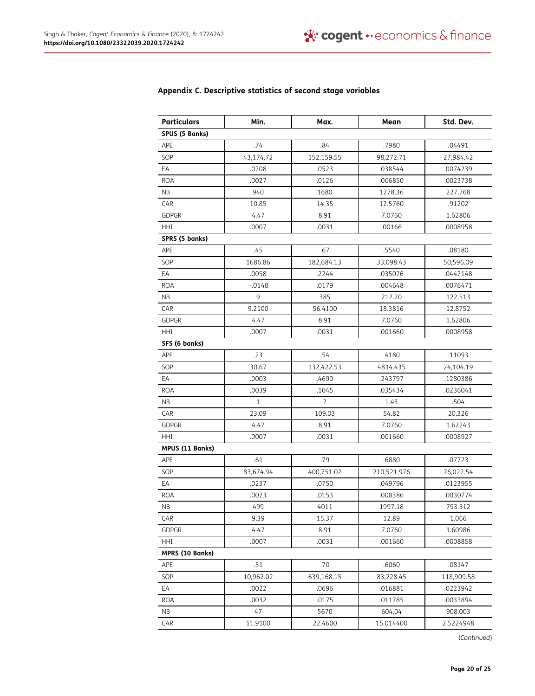| <b>Particulars</b>     | Min.         | Max.       | Mean        | Std. Dev.  |
|------------------------|--------------|------------|-------------|------------|
| SPUS (5 Banks)         |              |            |             |            |
| APE                    | .74          | .84        | .7980       | .04491     |
| SOP                    | 43,174.72    | 152,159.55 | 98,272.71   | 27,984.42  |
| EА                     | .0208        | .0523      | .038544     | .0074239   |
| <b>ROA</b>             | .0027        | .0126      | .006850     | .0023738   |
| ΝB                     | 940          | 1680       | 1278.36     | 227.768    |
| CAR                    | 10.85        | 14.35      | 12.5760     | .91202     |
| <b>GDPGR</b>           | 4.47         | 8.91       | 7.0760      | 1.62806    |
| HHI                    | .0007        | .0031      | .00166      | .0008958   |
| SPRS (5 banks)         |              |            |             |            |
| APE                    | .45          | .67        | .5540       | .08180     |
| SOP                    | 1686.86      | 182,684.13 | 33,098.43   | 50,596.09  |
| EА                     | .0058        | .2244      | .035076     | .0442148   |
| <b>ROA</b>             | $-.0148$     | .0179      | .004648     | .0076471   |
| ΝB                     | 9            | 385        | 212.20      | 122.513    |
| CAR                    | 9.2100       | 56.4100    | 18.3816     | 12.8752    |
| <b>GDPGR</b>           | 4.47         | 8.91       | 7.0760      | 1.62806    |
| HHI                    | .0007        | .0031      | .001660     | .0008958   |
| SFS (6 banks)          |              |            |             |            |
| APE                    | .23          | .54        | .4180       | .11093     |
| SOP                    | 30.67        | 132,422.53 | 4834.435    | 24,104.19  |
| EA                     | .0003        | .4690      | .243797     | .1280386   |
| <b>ROA</b>             | .0039        | .1045      | .035434     | .0236041   |
| NB.                    | $\mathbf{1}$ | 2          | 1.43        | .504       |
| CAR                    | 23.09        | 109.03     | 54.82       | 20.326     |
| <b>GDPGR</b>           | 4.47         | 8.91       | 7.0760      | 1.62243    |
| HHI                    | .0007        | .0031      | .001660     | .0008927   |
| <b>MPUS (11 Banks)</b> |              |            |             |            |
| APE                    | .61          | .79        | .6880       | .07723     |
| SOP                    | 83,674.94    | 400,751.02 | 210,521.976 | 76,022.54  |
| EA                     | .0237        | .0750      | .049796     | .0123955   |
| <b>ROA</b>             | .0023        | .0153      | .008386     | .0030774   |
| NB                     | 499          | 4011       | 1997.18     | 793.512    |
| CAR                    | 9.39         | 15.37      | 12.89       | 1.066      |
| GDPGR                  | 4.47         | 8.91       | 7.0760      | 1.60986    |
| HHI                    | .0007        | .0031      | .001660     | .0008858   |
| MPRS (10 Banks)        |              |            |             |            |
| APE                    | .51          | .70        | .6060       | .08147     |
| SOP                    | 10,962.02    | 639,168.15 | 83,228.45   | 118,909.58 |
| EA                     | .0022        | .0696      | .016881     | .0223942   |
| <b>ROA</b>             | .0032        | .0175      | .011785     | .0033894   |
| NB                     | 47           | 5670       | 604.04      | 908.003    |
| CAR                    | 11.9100      | 22.4600    | 15.014400   | 2.5224948  |

# Appendix C. Descriptive statistics of second stage variables

(Continued)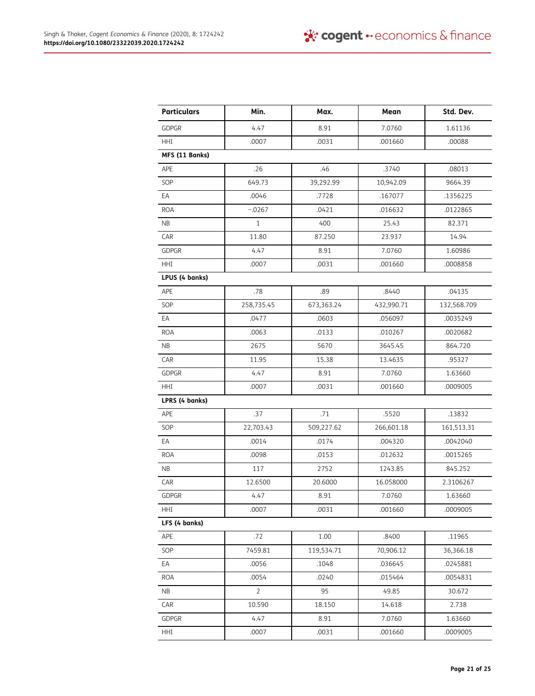| <b>Particulars</b> | Min.           | Max.       | Mean       | Std. Dev.   |
|--------------------|----------------|------------|------------|-------------|
| <b>GDPGR</b>       | 4.47           | 8.91       | 7.0760     | 1.61136     |
| HHI                | .0007          | .0031      | .001660    | .00088      |
| MFS (11 Banks)     |                |            |            |             |
| APE                | .26            | .46        | .3740      | .08013      |
| SOP                | 649.73         | 39,292.99  | 10,942.09  | 9664.39     |
| ЕA                 | .0046          | .7728      | .167077    | .1356225    |
| <b>ROA</b>         | $-.0267$       | .0421      | .016632    | .0122865    |
| ΝB                 | $\mathbf{1}$   | 400        | 25.43      | 82.371      |
| CAR                | 11.80          | 87.250     | 23.937     | 14.94       |
| <b>GDPGR</b>       | 4.47           | 8.91       | 7.0760     | 1.60986     |
| HHI                | .0007          | .0031      | .001660    | .0008858    |
| LPUS (4 banks)     |                |            |            |             |
| APE                | .78            | .89        | .8440      | .04135      |
| SOP                | 258,735.45     | 673,363.24 | 432,990.71 | 132,568.709 |
| ЕA                 | .0477          | .0603      | .056097    | .0035249    |
| <b>ROA</b>         | .0063          | .0133      | .010267    | .0020682    |
| NB                 | 2675           | 5670       | 3645.45    | 864.720     |
| CAR                | 11.95          | 15.38      | 13.4635    | .95327      |
| <b>GDPGR</b>       | 4.47           | 8.91       | 7.0760     | 1.63660     |
| HHI                | .0007          | .0031      | .001660    | .0009005    |
| LPRS (4 banks)     |                |            |            |             |
| APE                | .37            | .71        | .5520      | .13832      |
| SOP                | 22,703.43      | 509,227.62 | 266,601.18 | 161,513.31  |
| EA                 | .0014          | .0174      | .004320    | .0042040    |
| <b>ROA</b>         | .0098          | .0153      | .012632    | .0015265    |
| ΝB                 | 117            | 2752       | 1243.85    | 845.252     |
| CAR                | 12.6500        | 20.6000    | 16.058000  | 2.3106267   |
| GDPGR              | 4.47           | 8.91       | 7.0760     | 1.63660     |
| HHI                | .0007          | .0031      | .001660    | .0009005    |
| LFS (4 banks)      |                |            |            |             |
| APE                | .72            | 1.00       | .8400      | .11965      |
| SOP                | 7459.81        | 119,534.71 | 70,906.12  | 36,366.18   |
| EA                 | .0056          | .1048      | .036645    | .0245881    |
| <b>ROA</b>         | .0054          | .0240      | .015464    | .0054831    |
| NB.                | $\overline{2}$ | 95         | 49.85      | 30.672      |
| CAR                | 10.590         | 18.150     | 14.618     | 2.738       |
| <b>GDPGR</b>       | 4.47           | 8.91       | 7.0760     | 1.63660     |
| HHI                | .0007          | .0031      | .001660    | .0009005    |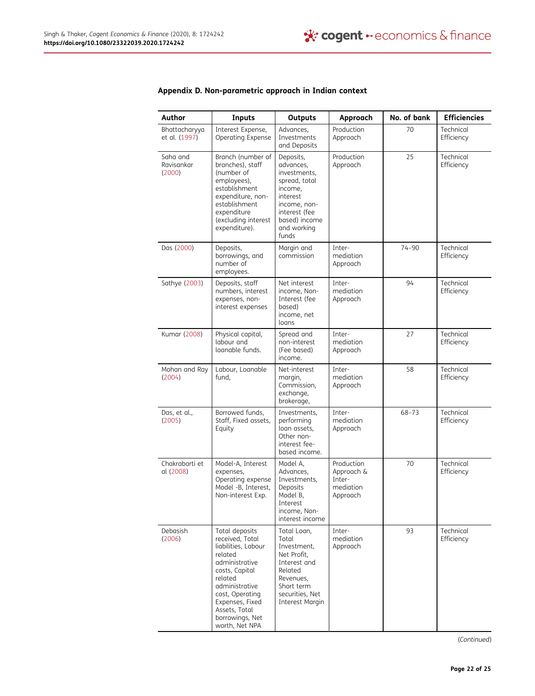| Author                           | <b>Inputs</b>                                                                                                                                                                                                                    | <b>Outputs</b>                                                                                                                                           | Approach                                                    | No. of bank | <b>Efficiencies</b>     |
|----------------------------------|----------------------------------------------------------------------------------------------------------------------------------------------------------------------------------------------------------------------------------|----------------------------------------------------------------------------------------------------------------------------------------------------------|-------------------------------------------------------------|-------------|-------------------------|
| Bhattacharyya<br>et al. (1997)   | Interest Expense,<br>Operating Expense                                                                                                                                                                                           | Advances,<br>Investments<br>and Deposits                                                                                                                 | Production<br>Approach                                      | 70          | Technical<br>Efficiency |
| Saha and<br>Ravisankar<br>(2000) | Branch (number of<br>branches), staff<br>(number of<br>employees),<br>establishment<br>expenditure, non-<br>establishment<br>expenditure<br>(excluding interest<br>expenditure).                                                 | Deposits,<br>advances,<br>investments,<br>spread, total<br>income,<br>interest<br>income, non-<br>interest (fee<br>based) income<br>and working<br>funds | Production<br>Approach                                      | 25          | Technical<br>Efficiency |
| Das (2000)                       | Deposits,<br>borrowings, and<br>number of<br>employees.                                                                                                                                                                          | Margin and<br>commission                                                                                                                                 | Inter-<br>mediation<br>Approach                             | $74 - 90$   | Technical<br>Efficiency |
| Sathye (2003)                    | Deposits, staff<br>numbers, interest<br>expenses, non-<br>interest expenses                                                                                                                                                      | Net interest<br>income, Non-<br>Interest (fee<br>based)<br>income, net<br>loans                                                                          | Inter-<br>mediation<br>Approach                             | 94          | Technical<br>Efficiency |
| Kumar (2008)                     | Physical capital,<br>labour and<br>loanable funds.                                                                                                                                                                               | Spread and<br>non-interest<br>(Fee based)<br>income.                                                                                                     | Inter-<br>mediation<br>Approach                             | 27          | Technical<br>Efficiency |
| Mohan and Ray<br>(2004)          | Labour, Loanable<br>fund,                                                                                                                                                                                                        | Net-interest<br>margin,<br>Commission,<br>exchange,<br>brokerage,                                                                                        | Inter-<br>mediation<br>Approach                             | 58          | Technical<br>Efficiency |
| Das, et al.,<br>(2005)           | Borrowed funds,<br>Staff, Fixed assets,<br>Equity                                                                                                                                                                                | Investments,<br>performing<br>loan assets,<br>Other non-<br>interest fee-<br>based income.                                                               | Inter-<br>mediation<br>Approach                             | $68 - 73$   | Technical<br>Efficiency |
| Chakrabarti et<br>al (2008)      | Model-A, Interest<br>expenses,<br>Operating expense<br>Model -B, Interest,<br>Non-interest Exp.                                                                                                                                  | Model A,<br>Advances,<br>Investments,<br>Deposits<br>Model B,<br>Interest<br>income, Non-<br>interest income                                             | Production<br>Approach &<br>Inter-<br>mediation<br>Approach | 70          | Technical<br>Efficiency |
| <b>Debasish</b><br>(2006)        | Total deposits<br>received, Total<br>liabilities, Labour<br>related<br>administrative<br>costs, Capital<br>related<br>administrative<br>cost, Operating<br>Expenses, Fixed<br>Assets, Total<br>borrowings, Net<br>worth, Net NPA | Total Loan,<br>Total<br>Investment,<br>Net Profit,<br>Interest and<br>Related<br>Revenues,<br>Short term<br>securities, Net<br>Interest Margin           | Inter-<br>mediation<br>Approach                             | 93          | Technical<br>Efficiency |

# Appendix D. Non-parametric approach in Indian context

(Continued)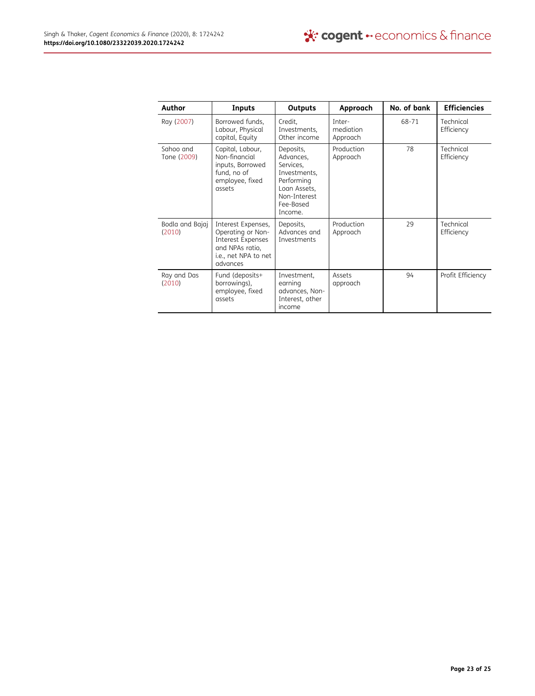| Author                    | Inputs                                                                                                              | <b>Outputs</b>                                                                                                            | Approach                        | No. of bank | <b>Efficiencies</b>     |
|---------------------------|---------------------------------------------------------------------------------------------------------------------|---------------------------------------------------------------------------------------------------------------------------|---------------------------------|-------------|-------------------------|
| Ray (2007)                | Borrowed funds,<br>Labour, Physical<br>capital, Equity                                                              | Credit,<br>Investments,<br>Other income                                                                                   | Inter-<br>mediation<br>Approach | 68-71       | Technical<br>Efficiency |
| Sahoo and<br>Tone (2009)  | Capital, Labour,<br>Non-financial<br>inputs, Borrowed<br>fund, no of<br>employee, fixed<br>assets                   | Deposits,<br>Advances,<br>Services,<br>Investments,<br>Performing<br>Loan Assets,<br>Non-Interest<br>Fee-Based<br>Income. | Production<br>Approach          | 78          | Technical<br>Efficiency |
| Bodla and Bajaj<br>(2010) | Interest Expenses,<br>Operating or Non-<br>Interest Expenses<br>and NPAs ratio,<br>i.e., net NPA to net<br>advances | Deposits,<br>Advances and<br>Investments                                                                                  | Production<br>Approach          | 29          | Technical<br>Efficiency |
| Ray and Das<br>(2010)     | Fund (deposits+<br>borrowings),<br>employee, fixed<br>assets                                                        | Investment,<br>earning<br>advances, Non-<br>Interest, other<br>income                                                     | Assets<br>approach              | 94          | Profit Efficiency       |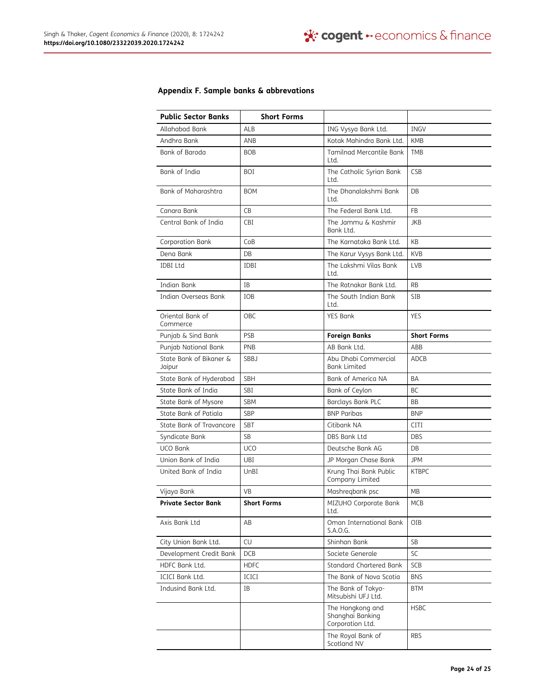# Appendix F. Sample banks & abbrevations

| <b>Public Sector Banks</b>        | <b>Short Forms</b> |                                                          |                    |
|-----------------------------------|--------------------|----------------------------------------------------------|--------------------|
| Allahabad Bank                    | ALB                | ING Vysya Bank Ltd.                                      | <b>INGV</b>        |
| Andhra Bank                       | ANB                | Kotak Mahindra Bank Ltd.                                 | KMB                |
| Bank of Baroda                    | <b>BOB</b>         | Tamilnad Mercantile Bank<br>Ltd.                         | <b>TMB</b>         |
| Bank of India                     | BOI                | The Catholic Syrian Bank<br>Ltd.                         | CSB                |
| Bank of Maharashtra               | <b>BOM</b>         | The Dhanalakshmi Bank<br>Ltd.                            | DB.                |
| Canara Bank                       | CB                 | The Federal Bank Ltd.                                    | <b>FB</b>          |
| Central Bank of India             | CBI                | The Jammu & Kashmir<br>Bank Ltd.                         | JKB                |
| Corporation Bank                  | CoB                | The Karnataka Bank Ltd.                                  | KB                 |
| Dena Bank                         | DB                 | The Karur Vysys Bank Ltd.                                | <b>KVB</b>         |
| IDBI Ltd                          | <b>IDBI</b>        | The Lakshmi Vilas Bank<br>Ltd.                           | LVB                |
| Indian Bank                       | ΙB                 | The Ratnakar Bank Ltd.                                   | <b>RB</b>          |
| Indian Overseas Bank              | <b>TOB</b>         | The South Indian Bank<br>Ltd.                            | <b>STB</b>         |
| Oriental Bank of<br>Commerce      | OBC                | <b>YES Bank</b>                                          | <b>YES</b>         |
| Punjab & Sind Bank                | <b>PSB</b>         | <b>Foreign Banks</b>                                     | <b>Short Forms</b> |
| Punjab National Bank              | <b>PNB</b>         | AB Bank Ltd.                                             | ABB                |
| State Bank of Bikaner &<br>Jaipur | SBBJ               | Abu Dhabi Commercial<br><b>Bank Limited</b>              | ADCB               |
| State Bank of Hyderabad           | <b>SBH</b>         | Bank of America NA                                       | BA                 |
| State Bank of India               | SBI                | Bank of Ceylon                                           | ВC                 |
| State Bank of Mysore              | SBM                | Barclays Bank PLC                                        | ΒB                 |
| State Bank of Patiala             | <b>SBP</b>         | <b>BNP Paribas</b>                                       | <b>BNP</b>         |
| State Bank of Travancore          | <b>SBT</b>         | Citibank NA                                              | CITI               |
| Syndicate Bank                    | SB                 | DBS Bank Ltd                                             | <b>DBS</b>         |
| <b>UCO Bank</b>                   | <b>UCO</b>         | Deutsche Bank AG                                         | DB                 |
| Union Bank of India               | UBI                | JP Morgan Chase Bank                                     | JPM                |
| United Bank of India              | UnBI               | Krung Thai Bank Public<br>Company Limited                | KTBPC              |
| Vijaya Bank                       | <b>VB</b>          | Mashregbank psc                                          | МB                 |
| Private Sector Bank               | Short Forms        | MIZUHO Corporate Bank<br>Ltd.                            | MCR                |
| Axis Bank Ltd                     | AB                 | Oman International Bank<br>S.A.O.G.                      | OIB                |
| City Union Bank Ltd.              | CU                 | Shinhan Bank                                             | SB                 |
| Development Credit Bank           | <b>DCB</b>         | Societe Generale                                         | <b>SC</b>          |
| HDFC Bank Ltd.                    | <b>HDFC</b>        | Standard Chartered Bank                                  | SCB                |
| ICICI Bank Ltd.                   | ICICI              | The Bank of Nova Scotia                                  | <b>BNS</b>         |
| Indusind Bank Ltd.                | IB                 | The Bank of Tokyo-<br>Mitsubishi UFJ Ltd.                | <b>BTM</b>         |
|                                   |                    | The Hongkong and<br>Shanghai Banking<br>Corporation Ltd. | <b>HSBC</b>        |
|                                   |                    | The Royal Bank of<br>Scotland NV                         | <b>RBS</b>         |